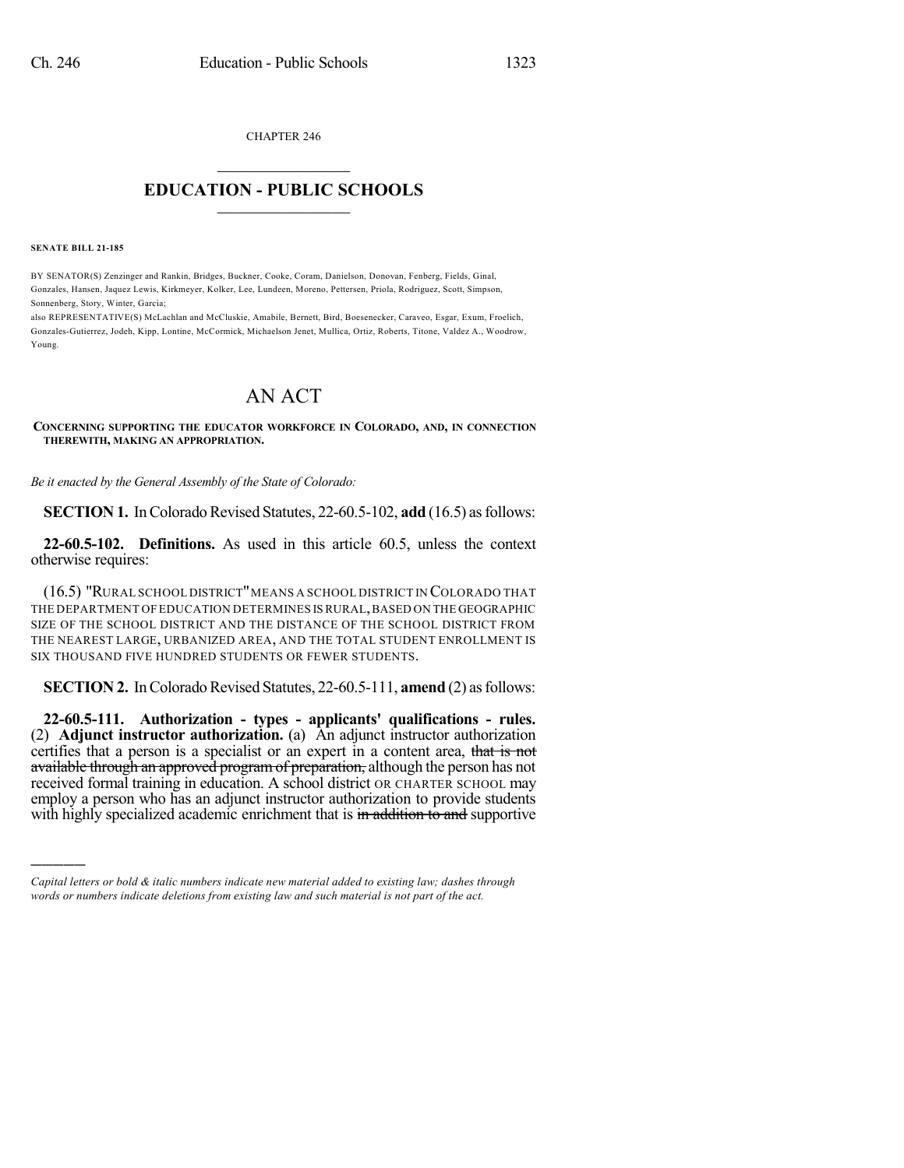CHAPTER 246

## $\mathcal{L}_\text{max}$  . The set of the set of the set of the set of the set of the set of the set of the set of the set of the set of the set of the set of the set of the set of the set of the set of the set of the set of the set **EDUCATION - PUBLIC SCHOOLS**  $\_$   $\_$   $\_$   $\_$   $\_$   $\_$   $\_$   $\_$   $\_$

**SENATE BILL 21-185**

)))))

BY SENATOR(S) Zenzinger and Rankin, Bridges, Buckner, Cooke, Coram, Danielson, Donovan, Fenberg, Fields, Ginal, Gonzales, Hansen, Jaquez Lewis, Kirkmeyer, Kolker, Lee, Lundeen, Moreno, Pettersen, Priola, Rodriguez, Scott, Simpson, Sonnenberg, Story, Winter, Garcia;

also REPRESENTATIVE(S) McLachlan and McCluskie, Amabile, Bernett, Bird, Boesenecker, Caraveo, Esgar, Exum, Froelich, Gonzales-Gutierrez, Jodeh, Kipp, Lontine, McCormick, Michaelson Jenet, Mullica, Ortiz, Roberts, Titone, Valdez A., Woodrow, Young.

## AN ACT

**CONCERNING SUPPORTING THE EDUCATOR WORKFORCE IN COLORADO, AND, IN CONNECTION THEREWITH, MAKING AN APPROPRIATION.**

*Be it enacted by the General Assembly of the State of Colorado:*

**SECTION 1.** In Colorado Revised Statutes, 22-60.5-102, **add** (16.5) as follows:

**22-60.5-102. Definitions.** As used in this article 60.5, unless the context otherwise requires:

(16.5) "RURAL SCHOOL DISTRICT"MEANS A SCHOOL DISTRICT IN COLORADO THAT THE DEPARTMENT OF EDUCATION DETERMINES IS RURAL, BASED ON THE GEOGRAPHIC SIZE OF THE SCHOOL DISTRICT AND THE DISTANCE OF THE SCHOOL DISTRICT FROM THE NEAREST LARGE, URBANIZED AREA, AND THE TOTAL STUDENT ENROLLMENT IS SIX THOUSAND FIVE HUNDRED STUDENTS OR FEWER STUDENTS.

**SECTION 2.** In Colorado Revised Statutes, 22-60.5-111, **amend** (2) as follows:

**22-60.5-111. Authorization - types - applicants' qualifications - rules.** (2) **Adjunct instructor authorization.** (a) An adjunct instructor authorization certifies that a person is a specialist or an expert in a content area, that is not available through an approved program of preparation, although the person has not received formal training in education. A school district OR CHARTER SCHOOL may employ a person who has an adjunct instructor authorization to provide students with highly specialized academic enrichment that is in addition to and supportive

*Capital letters or bold & italic numbers indicate new material added to existing law; dashes through words or numbers indicate deletions from existing law and such material is not part of the act.*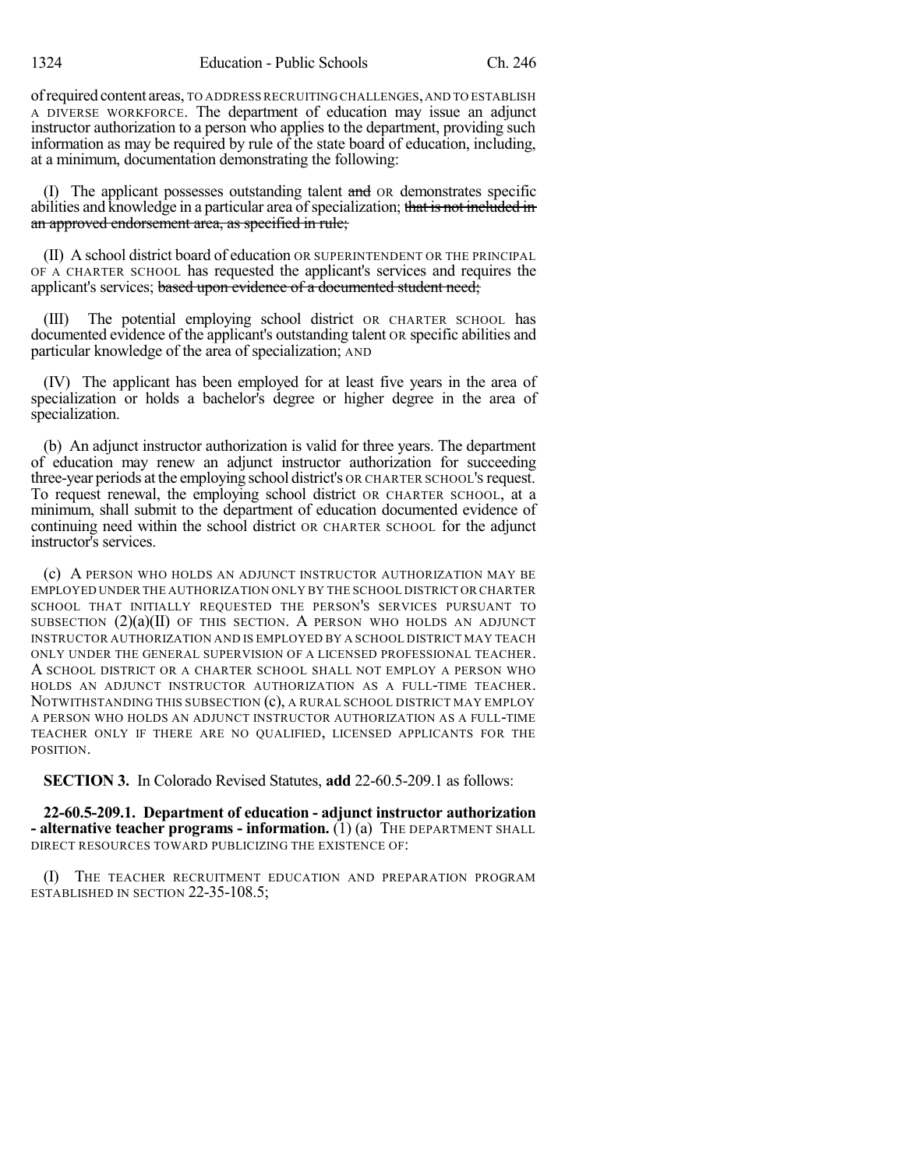ofrequired content areas, TO ADDRESS RECRUITING CHALLENGES,AND TO ESTABLISH A DIVERSE WORKFORCE. The department of education may issue an adjunct instructor authorization to a person who applies to the department, providing such information as may be required by rule of the state board of education, including, at a minimum, documentation demonstrating the following:

(I) The applicant possesses outstanding talent and OR demonstrates specific abilities and knowledge in a particular area of specialization; that is not included in an approved endorsement area, as specified in rule;

(II) A school district board of education OR SUPERINTENDENT OR THE PRINCIPAL OF A CHARTER SCHOOL has requested the applicant's services and requires the applicant's services; based upon evidence of a documented student need;

(III) The potential employing school district OR CHARTER SCHOOL has documented evidence of the applicant's outstanding talent OR specific abilities and particular knowledge of the area of specialization; AND

(IV) The applicant has been employed for at least five years in the area of specialization or holds a bachelor's degree or higher degree in the area of specialization.

(b) An adjunct instructor authorization is valid for three years. The department of education may renew an adjunct instructor authorization for succeeding three-year periods at the employing school district's OR CHARTER SCHOOL'S request. To request renewal, the employing school district OR CHARTER SCHOOL, at a minimum, shall submit to the department of education documented evidence of continuing need within the school district OR CHARTER SCHOOL for the adjunct instructor's services.

(c) A PERSON WHO HOLDS AN ADJUNCT INSTRUCTOR AUTHORIZATION MAY BE EMPLOYED UNDER THE AUTHORIZATION ONLY BY THE SCHOOL DISTRICT OR CHARTER SCHOOL THAT INITIALLY REQUESTED THE PERSON'S SERVICES PURSUANT TO SUBSECTION  $(2)(a)(II)$  OF THIS SECTION. A PERSON WHO HOLDS AN ADJUNCT INSTRUCTOR AUTHORIZATION AND IS EMPLOYED BY A SCHOOL DISTRICT MAY TEACH ONLY UNDER THE GENERAL SUPERVISION OF A LICENSED PROFESSIONAL TEACHER. A SCHOOL DISTRICT OR A CHARTER SCHOOL SHALL NOT EMPLOY A PERSON WHO HOLDS AN ADJUNCT INSTRUCTOR AUTHORIZATION AS A FULL-TIME TEACHER. NOTWITHSTANDING THIS SUBSECTION (c), A RURAL SCHOOL DISTRICT MAY EMPLOY A PERSON WHO HOLDS AN ADJUNCT INSTRUCTOR AUTHORIZATION AS A FULL-TIME TEACHER ONLY IF THERE ARE NO QUALIFIED, LICENSED APPLICANTS FOR THE POSITION.

**SECTION 3.** In Colorado Revised Statutes, **add** 22-60.5-209.1 as follows:

**22-60.5-209.1. Department of education - adjunct instructor authorization - alternative teacher programs - information.** (1) (a) THE DEPARTMENT SHALL DIRECT RESOURCES TOWARD PUBLICIZING THE EXISTENCE OF:

(I) THE TEACHER RECRUITMENT EDUCATION AND PREPARATION PROGRAM ESTABLISHED IN SECTION 22-35-108.5;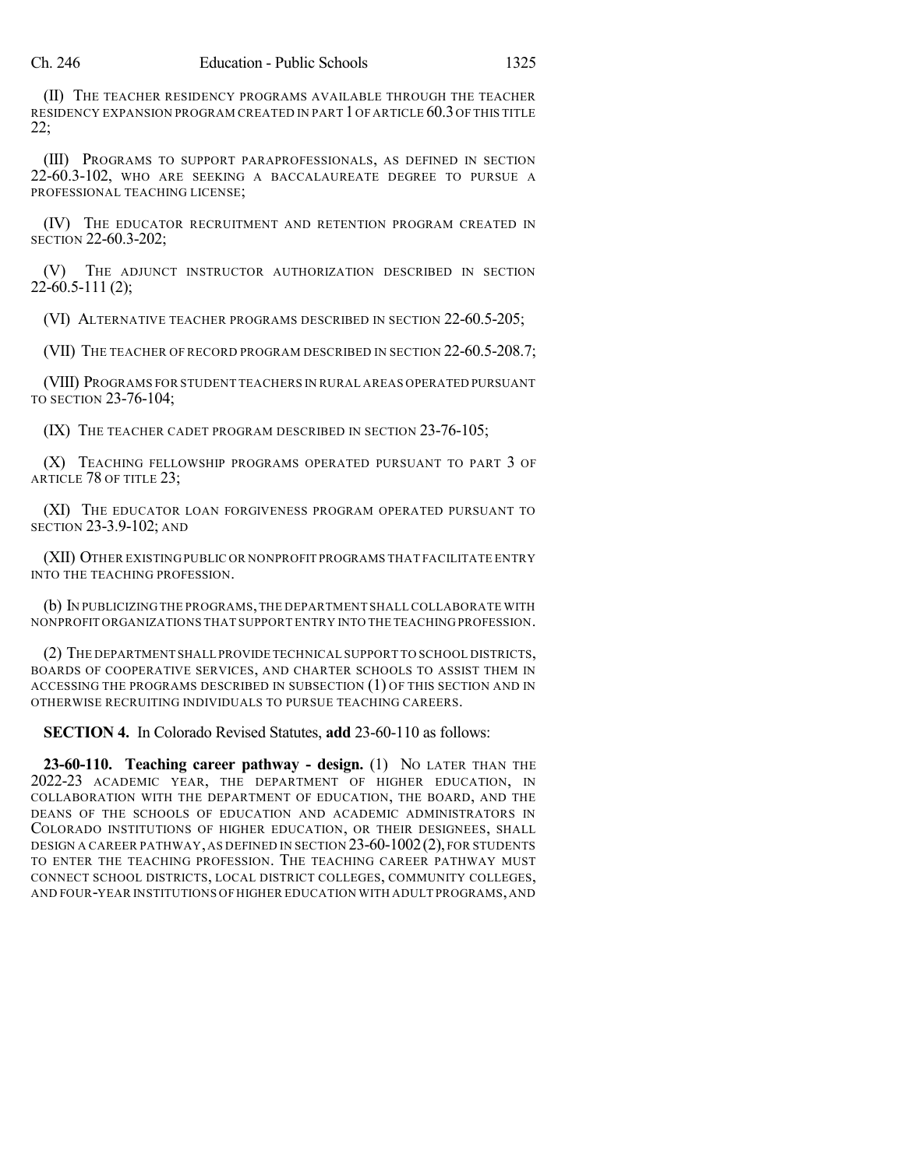(II) THE TEACHER RESIDENCY PROGRAMS AVAILABLE THROUGH THE TEACHER RESIDENCY EXPANSION PROGRAM CREATED IN PART 1OF ARTICLE 60.3OF THIS TITLE 22;

(III) PROGRAMS TO SUPPORT PARAPROFESSIONALS, AS DEFINED IN SECTION 22-60.3-102, WHO ARE SEEKING A BACCALAUREATE DEGREE TO PURSUE A PROFESSIONAL TEACHING LICENSE;

(IV) THE EDUCATOR RECRUITMENT AND RETENTION PROGRAM CREATED IN SECTION 22-60.3-202;

(V) THE ADJUNCT INSTRUCTOR AUTHORIZATION DESCRIBED IN SECTION  $22-60.5-111(2)$ ;

(VI) ALTERNATIVE TEACHER PROGRAMS DESCRIBED IN SECTION 22-60.5-205;

(VII) THE TEACHER OF RECORD PROGRAM DESCRIBED IN SECTION 22-60.5-208.7;

(VIII) PROGRAMS FOR STUDENT TEACHERS IN RURAL AREAS OPERATED PURSUANT TO SECTION 23-76-104;

(IX) THE TEACHER CADET PROGRAM DESCRIBED IN SECTION 23-76-105;

(X) TEACHING FELLOWSHIP PROGRAMS OPERATED PURSUANT TO PART 3 OF ARTICLE 78 OF TITLE 23;

(XI) THE EDUCATOR LOAN FORGIVENESS PROGRAM OPERATED PURSUANT TO SECTION 23-3.9-102; AND

(XII) OTHER EXISTINGPUBLIC OR NONPROFIT PROGRAMS THAT FACILITATE ENTRY INTO THE TEACHING PROFESSION.

(b) IN PUBLICIZINGTHE PROGRAMS,THE DEPARTMENT SHALL COLLABORATE WITH NONPROFIT ORGANIZATIONS THAT SUPPORT ENTRY INTO THE TEACHING PROFESSION.

(2) THE DEPARTMENT SHALL PROVIDE TECHNICAL SUPPORT TO SCHOOL DISTRICTS, BOARDS OF COOPERATIVE SERVICES, AND CHARTER SCHOOLS TO ASSIST THEM IN ACCESSING THE PROGRAMS DESCRIBED IN SUBSECTION (1) OF THIS SECTION AND IN OTHERWISE RECRUITING INDIVIDUALS TO PURSUE TEACHING CAREERS.

**SECTION 4.** In Colorado Revised Statutes, **add** 23-60-110 as follows:

**23-60-110. Teaching career pathway - design.** (1) NO LATER THAN THE 2022-23 ACADEMIC YEAR, THE DEPARTMENT OF HIGHER EDUCATION, IN COLLABORATION WITH THE DEPARTMENT OF EDUCATION, THE BOARD, AND THE DEANS OF THE SCHOOLS OF EDUCATION AND ACADEMIC ADMINISTRATORS IN COLORADO INSTITUTIONS OF HIGHER EDUCATION, OR THEIR DESIGNEES, SHALL DESIGN A CAREER PATHWAY,AS DEFINED IN SECTION 23-60-1002(2), FOR STUDENTS TO ENTER THE TEACHING PROFESSION. THE TEACHING CAREER PATHWAY MUST CONNECT SCHOOL DISTRICTS, LOCAL DISTRICT COLLEGES, COMMUNITY COLLEGES, AND FOUR-YEAR INSTITUTIONS OF HIGHER EDUCATION WITH ADULT PROGRAMS,AND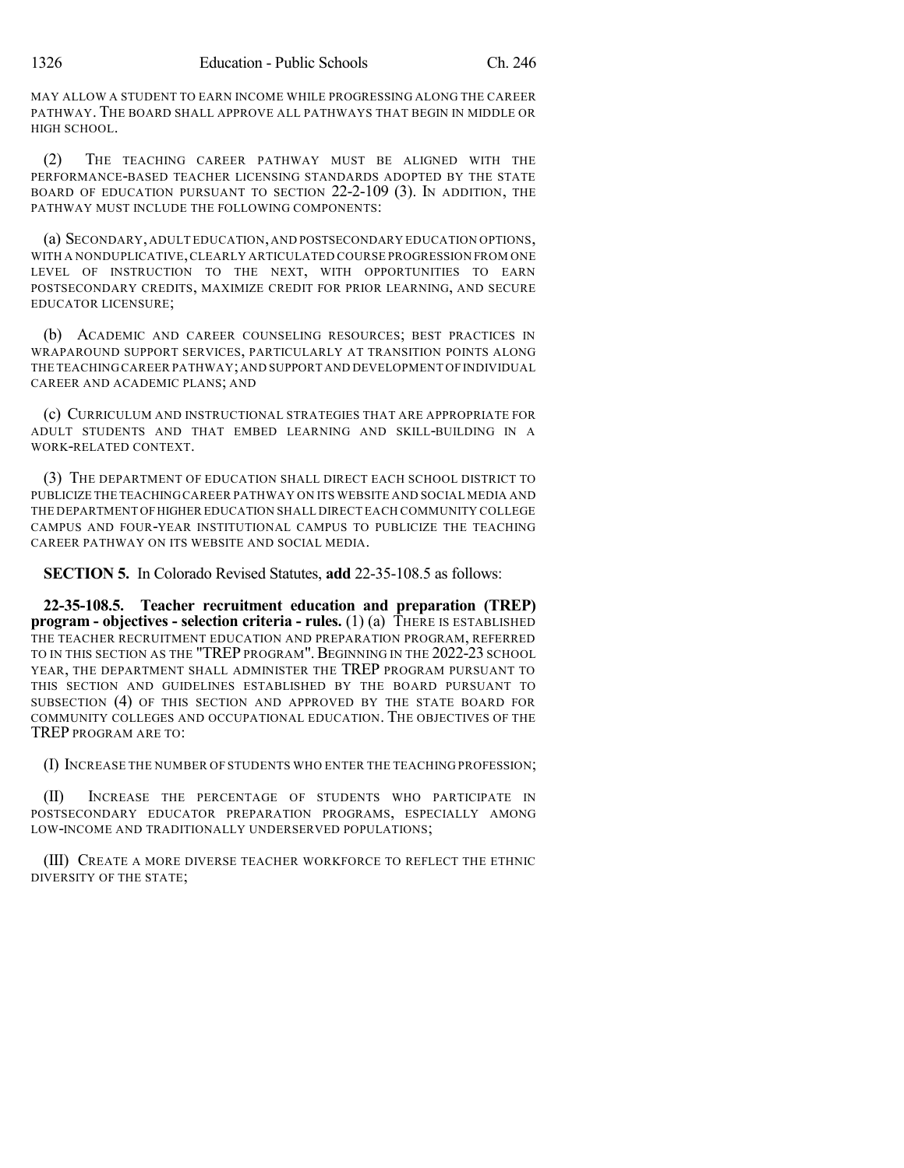MAY ALLOW A STUDENT TO EARN INCOME WHILE PROGRESSING ALONG THE CAREER PATHWAY. THE BOARD SHALL APPROVE ALL PATHWAYS THAT BEGIN IN MIDDLE OR HIGH SCHOOL.

(2) THE TEACHING CAREER PATHWAY MUST BE ALIGNED WITH THE PERFORMANCE-BASED TEACHER LICENSING STANDARDS ADOPTED BY THE STATE BOARD OF EDUCATION PURSUANT TO SECTION 22-2-109 (3). IN ADDITION, THE PATHWAY MUST INCLUDE THE FOLLOWING COMPONENTS:

(a) SECONDARY,ADULT EDUCATION,AND POSTSECONDARY EDUCATION OPTIONS, WITH A NONDUPLICATIVE,CLEARLY ARTICULATED COURSE PROGRESSION FROM ONE LEVEL OF INSTRUCTION TO THE NEXT, WITH OPPORTUNITIES TO EARN POSTSECONDARY CREDITS, MAXIMIZE CREDIT FOR PRIOR LEARNING, AND SECURE EDUCATOR LICENSURE;

(b) ACADEMIC AND CAREER COUNSELING RESOURCES; BEST PRACTICES IN WRAPAROUND SUPPORT SERVICES, PARTICULARLY AT TRANSITION POINTS ALONG THE TEACHING CAREER PATHWAY;AND SUPPORT AND DEVELOPMENT OF INDIVIDUAL CAREER AND ACADEMIC PLANS; AND

(c) CURRICULUM AND INSTRUCTIONAL STRATEGIES THAT ARE APPROPRIATE FOR ADULT STUDENTS AND THAT EMBED LEARNING AND SKILL-BUILDING IN A WORK-RELATED CONTEXT.

(3) THE DEPARTMENT OF EDUCATION SHALL DIRECT EACH SCHOOL DISTRICT TO PUBLICIZE THE TEACHINGCAREER PATHWAY ON ITS WEBSITE AND SOCIAL MEDIA AND THE DEPARTMENT OFHIGHER EDUCATION SHALL DIRECT EACH COMMUNITY COLLEGE CAMPUS AND FOUR-YEAR INSTITUTIONAL CAMPUS TO PUBLICIZE THE TEACHING CAREER PATHWAY ON ITS WEBSITE AND SOCIAL MEDIA.

**SECTION 5.** In Colorado Revised Statutes, **add** 22-35-108.5 as follows:

**22-35-108.5. Teacher recruitment education and preparation (TREP) program - objectives - selection criteria - rules.** (1) (a) THERE IS ESTABLISHED THE TEACHER RECRUITMENT EDUCATION AND PREPARATION PROGRAM, REFERRED TO IN THIS SECTION AS THE "TREP PROGRAM".BEGINNING IN THE 2022-23 SCHOOL YEAR, THE DEPARTMENT SHALL ADMINISTER THE TREP PROGRAM PURSUANT TO THIS SECTION AND GUIDELINES ESTABLISHED BY THE BOARD PURSUANT TO SUBSECTION (4) OF THIS SECTION AND APPROVED BY THE STATE BOARD FOR COMMUNITY COLLEGES AND OCCUPATIONAL EDUCATION. THE OBJECTIVES OF THE TREP PROGRAM ARE TO:

(I) INCREASE THE NUMBER OF STUDENTS WHO ENTER THE TEACHING PROFESSION;

(II) INCREASE THE PERCENTAGE OF STUDENTS WHO PARTICIPATE IN POSTSECONDARY EDUCATOR PREPARATION PROGRAMS, ESPECIALLY AMONG LOW-INCOME AND TRADITIONALLY UNDERSERVED POPULATIONS;

(III) CREATE A MORE DIVERSE TEACHER WORKFORCE TO REFLECT THE ETHNIC DIVERSITY OF THE STATE;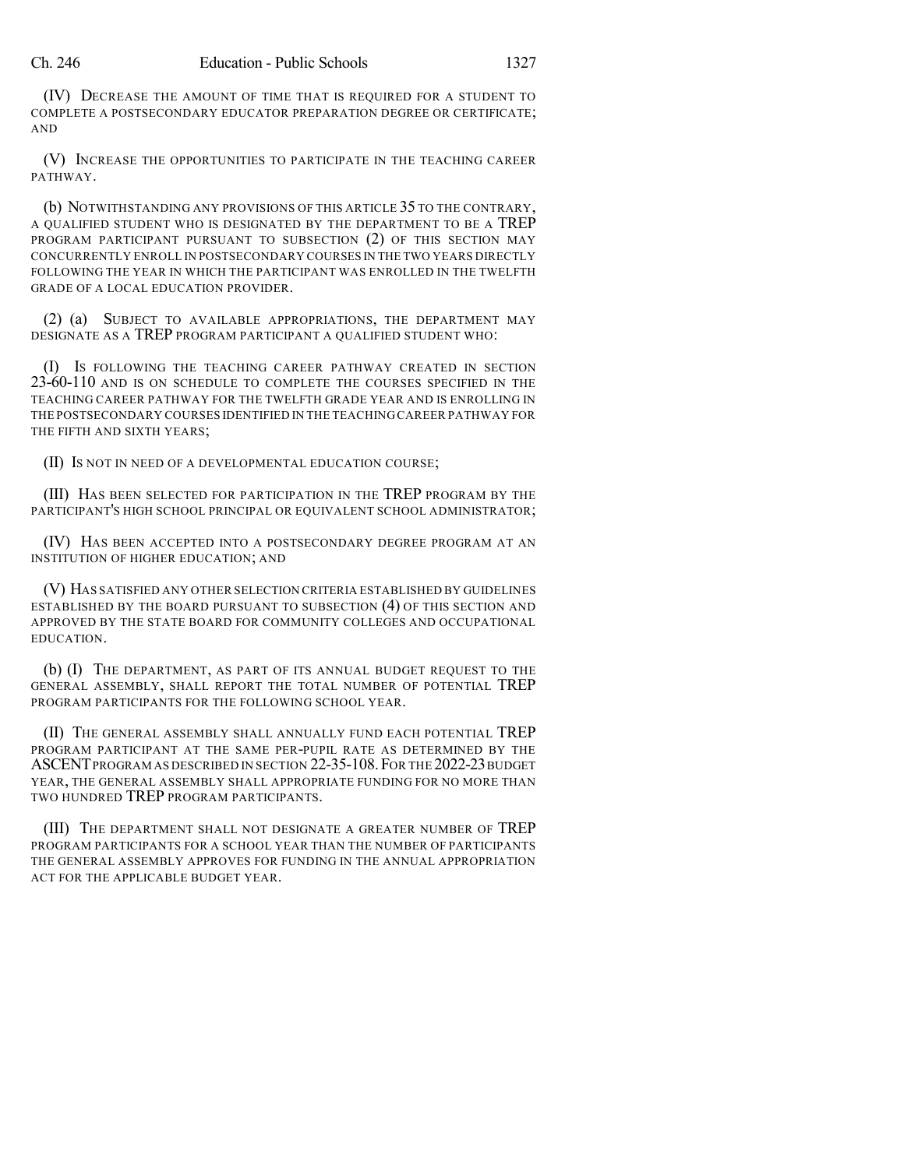(IV) DECREASE THE AMOUNT OF TIME THAT IS REQUIRED FOR A STUDENT TO COMPLETE A POSTSECONDARY EDUCATOR PREPARATION DEGREE OR CERTIFICATE; AND

(V) INCREASE THE OPPORTUNITIES TO PARTICIPATE IN THE TEACHING CAREER PATHWAY.

(b) NOTWITHSTANDING ANY PROVISIONS OF THIS ARTICLE 35 TO THE CONTRARY, A QUALIFIED STUDENT WHO IS DESIGNATED BY THE DEPARTMENT TO BE A TREP PROGRAM PARTICIPANT PURSUANT TO SUBSECTION (2) OF THIS SECTION MAY CONCURRENTLY ENROLL IN POSTSECONDARY COURSES IN THE TWO YEARS DIRECTLY FOLLOWING THE YEAR IN WHICH THE PARTICIPANT WAS ENROLLED IN THE TWELFTH GRADE OF A LOCAL EDUCATION PROVIDER.

(2) (a) SUBJECT TO AVAILABLE APPROPRIATIONS, THE DEPARTMENT MAY DESIGNATE AS A TREP PROGRAM PARTICIPANT A QUALIFIED STUDENT WHO:

(I) IS FOLLOWING THE TEACHING CAREER PATHWAY CREATED IN SECTION 23-60-110 AND IS ON SCHEDULE TO COMPLETE THE COURSES SPECIFIED IN THE TEACHING CAREER PATHWAY FOR THE TWELFTH GRADE YEAR AND IS ENROLLING IN THE POSTSECONDARY COURSES IDENTIFIED IN THE TEACHING CAREER PATHWAY FOR THE FIFTH AND SIXTH YEARS;

(II) IS NOT IN NEED OF A DEVELOPMENTAL EDUCATION COURSE;

(III) HAS BEEN SELECTED FOR PARTICIPATION IN THE TREP PROGRAM BY THE PARTICIPANT'S HIGH SCHOOL PRINCIPAL OR EQUIVALENT SCHOOL ADMINISTRATOR;

(IV) HAS BEEN ACCEPTED INTO A POSTSECONDARY DEGREE PROGRAM AT AN INSTITUTION OF HIGHER EDUCATION; AND

(V) HAS SATISFIED ANY OTHER SELECTION CRITERIA ESTABLISHED BY GUIDELINES ESTABLISHED BY THE BOARD PURSUANT TO SUBSECTION (4) OF THIS SECTION AND APPROVED BY THE STATE BOARD FOR COMMUNITY COLLEGES AND OCCUPATIONAL EDUCATION.

(b) (I) THE DEPARTMENT, AS PART OF ITS ANNUAL BUDGET REQUEST TO THE GENERAL ASSEMBLY, SHALL REPORT THE TOTAL NUMBER OF POTENTIAL TREP PROGRAM PARTICIPANTS FOR THE FOLLOWING SCHOOL YEAR.

(II) THE GENERAL ASSEMBLY SHALL ANNUALLY FUND EACH POTENTIAL TREP PROGRAM PARTICIPANT AT THE SAME PER-PUPIL RATE AS DETERMINED BY THE ASCENT PROGRAM AS DESCRIBED IN SECTION 22-35-108. FOR THE 2022-23 BUDGET YEAR, THE GENERAL ASSEMBLY SHALL APPROPRIATE FUNDING FOR NO MORE THAN TWO HUNDRED TREP PROGRAM PARTICIPANTS.

(III) THE DEPARTMENT SHALL NOT DESIGNATE A GREATER NUMBER OF TREP PROGRAM PARTICIPANTS FOR A SCHOOL YEAR THAN THE NUMBER OF PARTICIPANTS THE GENERAL ASSEMBLY APPROVES FOR FUNDING IN THE ANNUAL APPROPRIATION ACT FOR THE APPLICABLE BUDGET YEAR.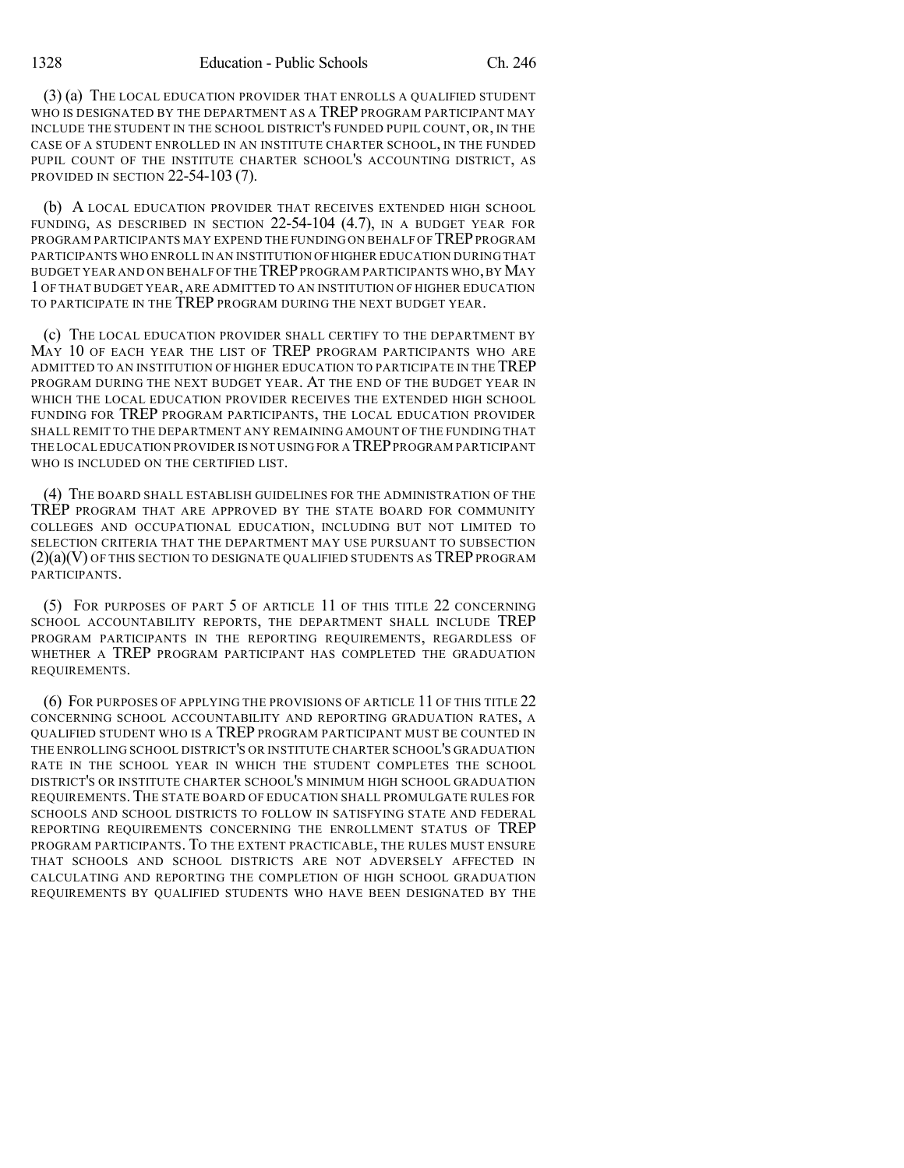(3) (a) THE LOCAL EDUCATION PROVIDER THAT ENROLLS A QUALIFIED STUDENT WHO IS DESIGNATED BY THE DEPARTMENT AS A TREP PROGRAM PARTICIPANT MAY INCLUDE THE STUDENT IN THE SCHOOL DISTRICT'S FUNDED PUPIL COUNT, OR, IN THE CASE OF A STUDENT ENROLLED IN AN INSTITUTE CHARTER SCHOOL, IN THE FUNDED PUPIL COUNT OF THE INSTITUTE CHARTER SCHOOL'S ACCOUNTING DISTRICT, AS PROVIDED IN SECTION 22-54-103 (7).

(b) A LOCAL EDUCATION PROVIDER THAT RECEIVES EXTENDED HIGH SCHOOL FUNDING, AS DESCRIBED IN SECTION 22-54-104 (4.7), IN A BUDGET YEAR FOR PROGRAM PARTICIPANTS MAY EXPEND THE FUNDING ON BEHALF OF TREPPROGRAM PARTICIPANTS WHO ENROLL IN AN INSTITUTION OFHIGHER EDUCATION DURING THAT BUDGET YEAR AND ON BEHALF OF THE TREPPROGRAM PARTICIPANTS WHO,BYMAY 1 OF THAT BUDGET YEAR, ARE ADMITTED TO AN INSTITUTION OF HIGHER EDUCATION TO PARTICIPATE IN THE TREP PROGRAM DURING THE NEXT BUDGET YEAR.

(c) THE LOCAL EDUCATION PROVIDER SHALL CERTIFY TO THE DEPARTMENT BY MAY 10 OF EACH YEAR THE LIST OF TREP PROGRAM PARTICIPANTS WHO ARE ADMITTED TO AN INSTITUTION OF HIGHER EDUCATION TO PARTICIPATE IN THE TREP PROGRAM DURING THE NEXT BUDGET YEAR. AT THE END OF THE BUDGET YEAR IN WHICH THE LOCAL EDUCATION PROVIDER RECEIVES THE EXTENDED HIGH SCHOOL FUNDING FOR TREP PROGRAM PARTICIPANTS, THE LOCAL EDUCATION PROVIDER SHALL REMIT TO THE DEPARTMENT ANY REMAINING AMOUNT OF THE FUNDING THAT THE LOCAL EDUCATION PROVIDER IS NOT USING FOR A TREPPROGRAM PARTICIPANT WHO IS INCLUDED ON THE CERTIFIED LIST.

(4) THE BOARD SHALL ESTABLISH GUIDELINES FOR THE ADMINISTRATION OF THE TREP PROGRAM THAT ARE APPROVED BY THE STATE BOARD FOR COMMUNITY COLLEGES AND OCCUPATIONAL EDUCATION, INCLUDING BUT NOT LIMITED TO SELECTION CRITERIA THAT THE DEPARTMENT MAY USE PURSUANT TO SUBSECTION  $(2)(a)(V)$  OF THIS SECTION TO DESIGNATE QUALIFIED STUDENTS AS TREP PROGRAM PARTICIPANTS.

(5) FOR PURPOSES OF PART 5 OF ARTICLE 11 OF THIS TITLE 22 CONCERNING SCHOOL ACCOUNTABILITY REPORTS, THE DEPARTMENT SHALL INCLUDE TREP PROGRAM PARTICIPANTS IN THE REPORTING REQUIREMENTS, REGARDLESS OF WHETHER A TREP PROGRAM PARTICIPANT HAS COMPLETED THE GRADUATION REQUIREMENTS.

(6) FOR PURPOSES OF APPLYING THE PROVISIONS OF ARTICLE 11 OF THIS TITLE 22 CONCERNING SCHOOL ACCOUNTABILITY AND REPORTING GRADUATION RATES, A QUALIFIED STUDENT WHO IS A TREP PROGRAM PARTICIPANT MUST BE COUNTED IN THE ENROLLING SCHOOL DISTRICT'S OR INSTITUTE CHARTER SCHOOL'S GRADUATION RATE IN THE SCHOOL YEAR IN WHICH THE STUDENT COMPLETES THE SCHOOL DISTRICT'S OR INSTITUTE CHARTER SCHOOL'S MINIMUM HIGH SCHOOL GRADUATION REQUIREMENTS.THE STATE BOARD OF EDUCATION SHALL PROMULGATE RULES FOR SCHOOLS AND SCHOOL DISTRICTS TO FOLLOW IN SATISFYING STATE AND FEDERAL REPORTING REQUIREMENTS CONCERNING THE ENROLLMENT STATUS OF TREP PROGRAM PARTICIPANTS. TO THE EXTENT PRACTICABLE, THE RULES MUST ENSURE THAT SCHOOLS AND SCHOOL DISTRICTS ARE NOT ADVERSELY AFFECTED IN CALCULATING AND REPORTING THE COMPLETION OF HIGH SCHOOL GRADUATION REQUIREMENTS BY QUALIFIED STUDENTS WHO HAVE BEEN DESIGNATED BY THE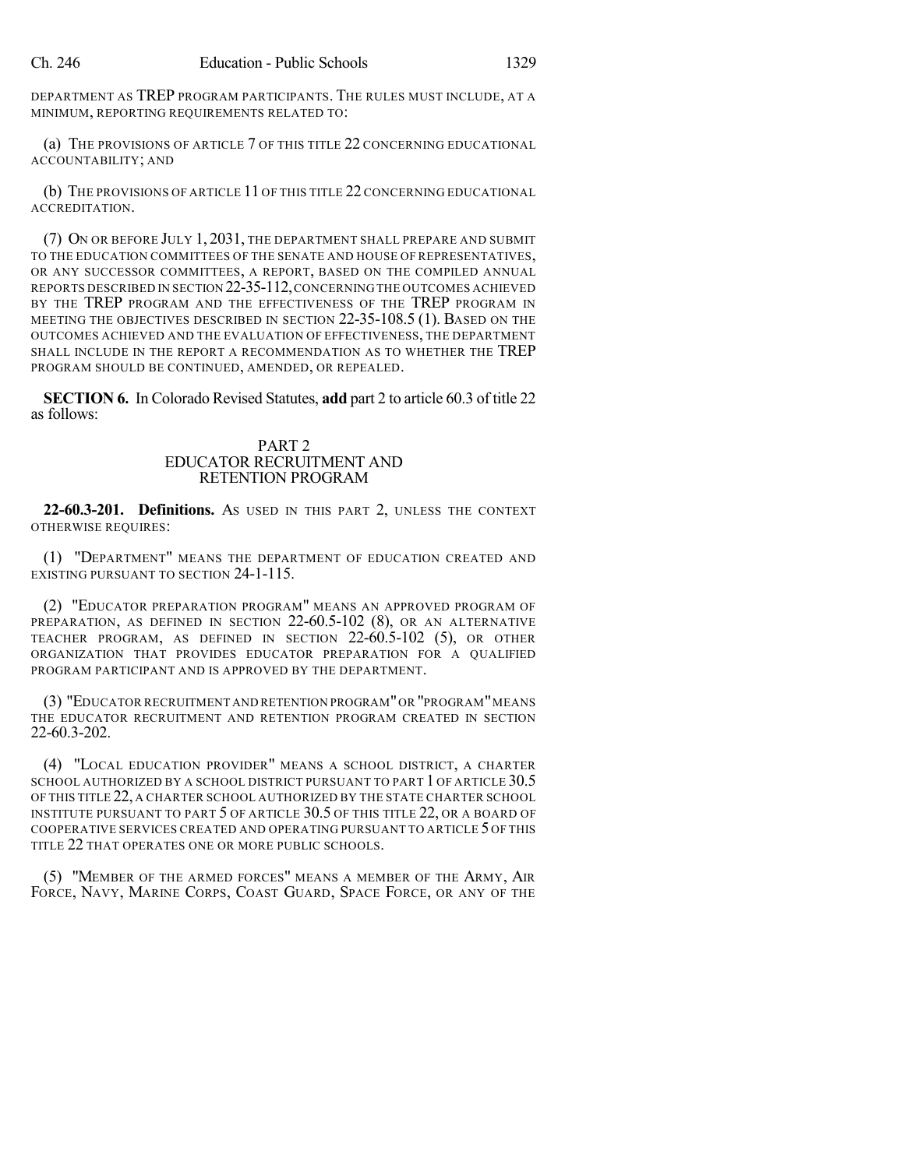DEPARTMENT AS TREP PROGRAM PARTICIPANTS. THE RULES MUST INCLUDE, AT A MINIMUM, REPORTING REQUIREMENTS RELATED TO:

(a) THE PROVISIONS OF ARTICLE 7 OF THIS TITLE 22 CONCERNING EDUCATIONAL ACCOUNTABILITY; AND

(b) THE PROVISIONS OF ARTICLE 11 OF THIS TITLE 22 CONCERNING EDUCATIONAL ACCREDITATION.

(7) ON OR BEFORE JULY 1, 2031, THE DEPARTMENT SHALL PREPARE AND SUBMIT TO THE EDUCATION COMMITTEES OF THE SENATE AND HOUSE OF REPRESENTATIVES, OR ANY SUCCESSOR COMMITTEES, A REPORT, BASED ON THE COMPILED ANNUAL REPORTS DESCRIBED IN SECTION 22-35-112,CONCERNING THE OUTCOMES ACHIEVED BY THE TREP PROGRAM AND THE EFFECTIVENESS OF THE TREP PROGRAM IN MEETING THE OBJECTIVES DESCRIBED IN SECTION 22-35-108.5 (1). BASED ON THE OUTCOMES ACHIEVED AND THE EVALUATION OF EFFECTIVENESS, THE DEPARTMENT SHALL INCLUDE IN THE REPORT A RECOMMENDATION AS TO WHETHER THE TREP PROGRAM SHOULD BE CONTINUED, AMENDED, OR REPEALED.

**SECTION 6.** In Colorado Revised Statutes, **add** part 2 to article 60.3 of title 22 as follows:

## PART 2 EDUCATOR RECRUITMENT AND RETENTION PROGRAM

**22-60.3-201. Definitions.** AS USED IN THIS PART 2, UNLESS THE CONTEXT OTHERWISE REQUIRES:

(1) "DEPARTMENT" MEANS THE DEPARTMENT OF EDUCATION CREATED AND EXISTING PURSUANT TO SECTION 24-1-115.

(2) "EDUCATOR PREPARATION PROGRAM" MEANS AN APPROVED PROGRAM OF PREPARATION, AS DEFINED IN SECTION 22-60.5-102 (8), OR AN ALTERNATIVE TEACHER PROGRAM, AS DEFINED IN SECTION 22-60.5-102 (5), OR OTHER ORGANIZATION THAT PROVIDES EDUCATOR PREPARATION FOR A QUALIFIED PROGRAM PARTICIPANT AND IS APPROVED BY THE DEPARTMENT.

(3) "EDUCATOR RECRUITMENT AND RETENTION PROGRAM"OR "PROGRAM"MEANS THE EDUCATOR RECRUITMENT AND RETENTION PROGRAM CREATED IN SECTION 22-60.3-202.

(4) "LOCAL EDUCATION PROVIDER" MEANS A SCHOOL DISTRICT, A CHARTER SCHOOL AUTHORIZED BY A SCHOOL DISTRICT PURSUANT TO PART 1 OF ARTICLE 30.5 OF THIS TITLE 22, A CHARTER SCHOOL AUTHORIZED BY THE STATE CHARTER SCHOOL INSTITUTE PURSUANT TO PART 5 OF ARTICLE 30.5 OF THIS TITLE 22, OR A BOARD OF COOPERATIVE SERVICES CREATED AND OPERATING PURSUANT TO ARTICLE 5 OF THIS TITLE 22 THAT OPERATES ONE OR MORE PUBLIC SCHOOLS.

(5) "MEMBER OF THE ARMED FORCES" MEANS A MEMBER OF THE ARMY, AIR FORCE, NAVY, MARINE CORPS, COAST GUARD, SPACE FORCE, OR ANY OF THE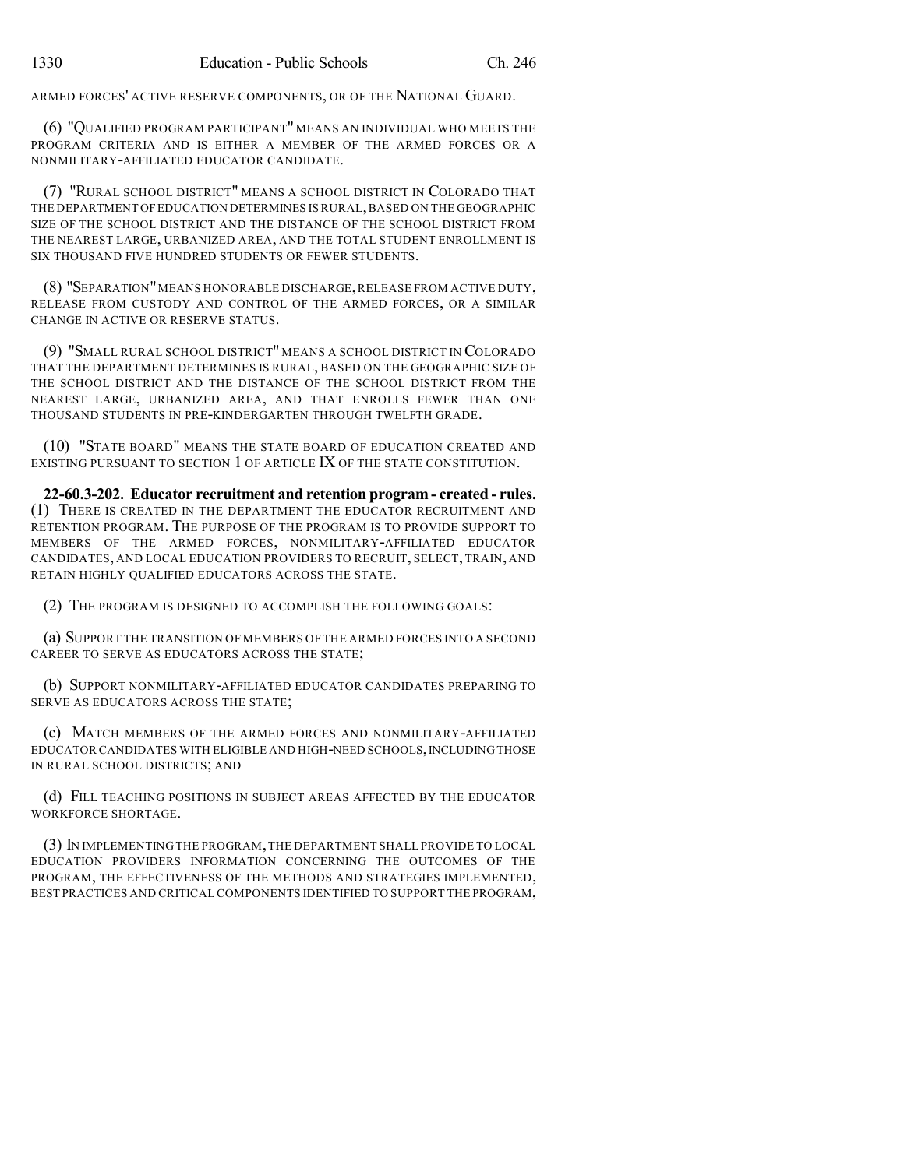ARMED FORCES' ACTIVE RESERVE COMPONENTS, OR OF THE NATIONAL GUARD.

(6) "QUALIFIED PROGRAM PARTICIPANT" MEANS AN INDIVIDUAL WHO MEETS THE PROGRAM CRITERIA AND IS EITHER A MEMBER OF THE ARMED FORCES OR A NONMILITARY-AFFILIATED EDUCATOR CANDIDATE.

(7) "RURAL SCHOOL DISTRICT" MEANS A SCHOOL DISTRICT IN COLORADO THAT THE DEPARTMENT OFEDUCATION DETERMINES IS RURAL,BASED ON THE GEOGRAPHIC SIZE OF THE SCHOOL DISTRICT AND THE DISTANCE OF THE SCHOOL DISTRICT FROM THE NEAREST LARGE, URBANIZED AREA, AND THE TOTAL STUDENT ENROLLMENT IS SIX THOUSAND FIVE HUNDRED STUDENTS OR FEWER STUDENTS.

(8) "SEPARATION"MEANS HONORABLE DISCHARGE,RELEASE FROM ACTIVE DUTY, RELEASE FROM CUSTODY AND CONTROL OF THE ARMED FORCES, OR A SIMILAR CHANGE IN ACTIVE OR RESERVE STATUS.

(9) "SMALL RURAL SCHOOL DISTRICT" MEANS A SCHOOL DISTRICT IN COLORADO THAT THE DEPARTMENT DETERMINES IS RURAL, BASED ON THE GEOGRAPHIC SIZE OF THE SCHOOL DISTRICT AND THE DISTANCE OF THE SCHOOL DISTRICT FROM THE NEAREST LARGE, URBANIZED AREA, AND THAT ENROLLS FEWER THAN ONE THOUSAND STUDENTS IN PRE-KINDERGARTEN THROUGH TWELFTH GRADE.

(10) "STATE BOARD" MEANS THE STATE BOARD OF EDUCATION CREATED AND EXISTING PURSUANT TO SECTION 1 OF ARTICLE IX OF THE STATE CONSTITUTION.

**22-60.3-202. Educator recruitment and retention program - created - rules.** (1) THERE IS CREATED IN THE DEPARTMENT THE EDUCATOR RECRUITMENT AND RETENTION PROGRAM. THE PURPOSE OF THE PROGRAM IS TO PROVIDE SUPPORT TO MEMBERS OF THE ARMED FORCES, NONMILITARY-AFFILIATED EDUCATOR CANDIDATES, AND LOCAL EDUCATION PROVIDERS TO RECRUIT, SELECT, TRAIN, AND RETAIN HIGHLY QUALIFIED EDUCATORS ACROSS THE STATE.

(2) THE PROGRAM IS DESIGNED TO ACCOMPLISH THE FOLLOWING GOALS:

(a) SUPPORT THE TRANSITION OF MEMBERS OF THE ARMED FORCES INTO A SECOND CAREER TO SERVE AS EDUCATORS ACROSS THE STATE;

(b) SUPPORT NONMILITARY-AFFILIATED EDUCATOR CANDIDATES PREPARING TO SERVE AS EDUCATORS ACROSS THE STATE;

(c) MATCH MEMBERS OF THE ARMED FORCES AND NONMILITARY-AFFILIATED EDUCATOR CANDIDATES WITH ELIGIBLE AND HIGH-NEED SCHOOLS, INCLUDING THOSE IN RURAL SCHOOL DISTRICTS; AND

(d) FILL TEACHING POSITIONS IN SUBJECT AREAS AFFECTED BY THE EDUCATOR WORKFORCE SHORTAGE.

(3) IN IMPLEMENTING THE PROGRAM,THE DEPARTMENT SHALL PROVIDE TO LOCAL EDUCATION PROVIDERS INFORMATION CONCERNING THE OUTCOMES OF THE PROGRAM, THE EFFECTIVENESS OF THE METHODS AND STRATEGIES IMPLEMENTED, BEST PRACTICES AND CRITICALCOMPONENTS IDENTIFIED TO SUPPORT THE PROGRAM,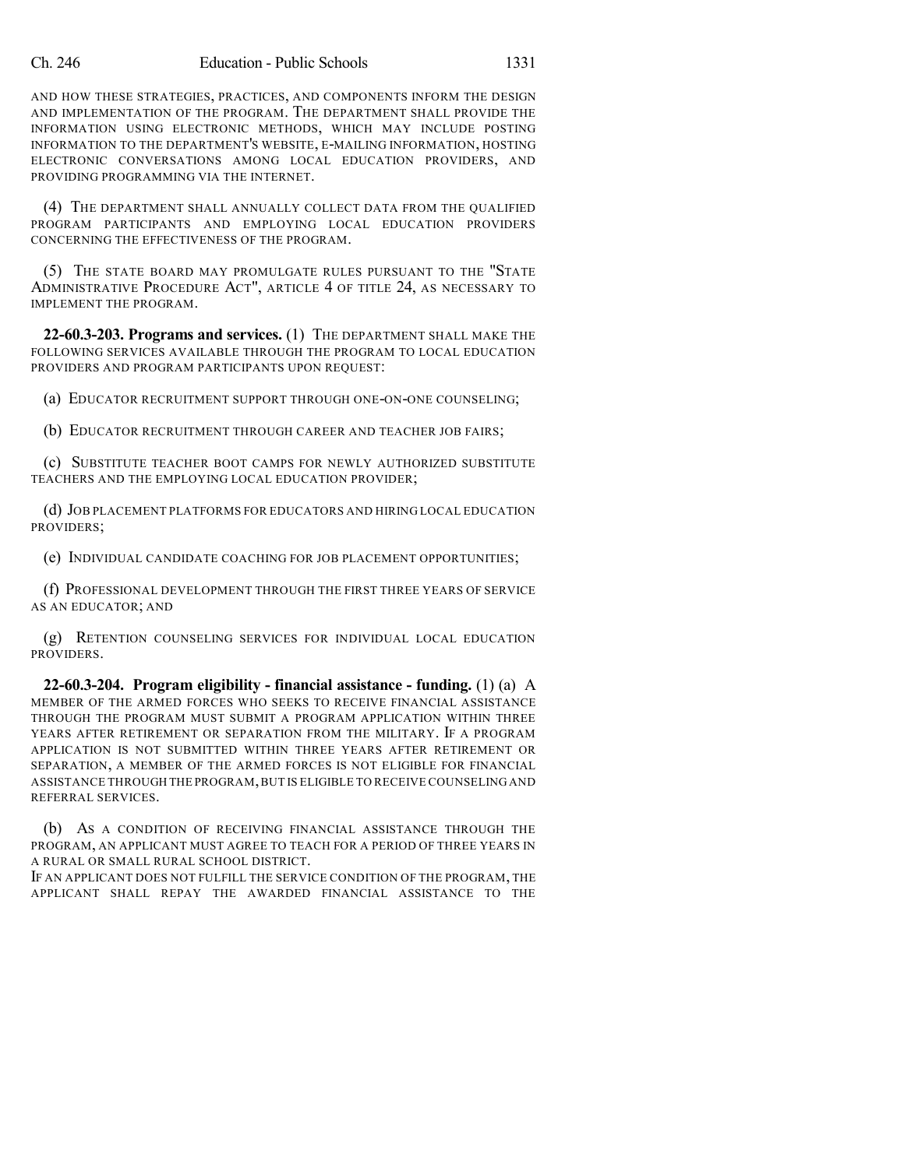AND HOW THESE STRATEGIES, PRACTICES, AND COMPONENTS INFORM THE DESIGN AND IMPLEMENTATION OF THE PROGRAM. THE DEPARTMENT SHALL PROVIDE THE INFORMATION USING ELECTRONIC METHODS, WHICH MAY INCLUDE POSTING INFORMATION TO THE DEPARTMENT'S WEBSITE, E-MAILING INFORMATION, HOSTING ELECTRONIC CONVERSATIONS AMONG LOCAL EDUCATION PROVIDERS, AND PROVIDING PROGRAMMING VIA THE INTERNET.

(4) THE DEPARTMENT SHALL ANNUALLY COLLECT DATA FROM THE QUALIFIED PROGRAM PARTICIPANTS AND EMPLOYING LOCAL EDUCATION PROVIDERS CONCERNING THE EFFECTIVENESS OF THE PROGRAM.

(5) THE STATE BOARD MAY PROMULGATE RULES PURSUANT TO THE "STATE ADMINISTRATIVE PROCEDURE ACT", ARTICLE 4 OF TITLE 24, AS NECESSARY TO IMPLEMENT THE PROGRAM.

**22-60.3-203. Programs and services.** (1) THE DEPARTMENT SHALL MAKE THE FOLLOWING SERVICES AVAILABLE THROUGH THE PROGRAM TO LOCAL EDUCATION PROVIDERS AND PROGRAM PARTICIPANTS UPON REQUEST:

(a) EDUCATOR RECRUITMENT SUPPORT THROUGH ONE-ON-ONE COUNSELING;

(b) EDUCATOR RECRUITMENT THROUGH CAREER AND TEACHER JOB FAIRS;

(c) SUBSTITUTE TEACHER BOOT CAMPS FOR NEWLY AUTHORIZED SUBSTITUTE TEACHERS AND THE EMPLOYING LOCAL EDUCATION PROVIDER;

(d) JOB PLACEMENT PLATFORMS FOR EDUCATORS AND HIRING LOCAL EDUCATION PROVIDERS;

(e) INDIVIDUAL CANDIDATE COACHING FOR JOB PLACEMENT OPPORTUNITIES;

(f) PROFESSIONAL DEVELOPMENT THROUGH THE FIRST THREE YEARS OF SERVICE AS AN EDUCATOR; AND

(g) RETENTION COUNSELING SERVICES FOR INDIVIDUAL LOCAL EDUCATION PROVIDERS.

**22-60.3-204. Program eligibility - financial assistance - funding.** (1) (a) A MEMBER OF THE ARMED FORCES WHO SEEKS TO RECEIVE FINANCIAL ASSISTANCE THROUGH THE PROGRAM MUST SUBMIT A PROGRAM APPLICATION WITHIN THREE YEARS AFTER RETIREMENT OR SEPARATION FROM THE MILITARY. IF A PROGRAM APPLICATION IS NOT SUBMITTED WITHIN THREE YEARS AFTER RETIREMENT OR SEPARATION, A MEMBER OF THE ARMED FORCES IS NOT ELIGIBLE FOR FINANCIAL ASSISTANCE THROUGH THE PROGRAM,BUT IS ELIGIBLE TO RECEIVE COUNSELING AND REFERRAL SERVICES.

(b) AS A CONDITION OF RECEIVING FINANCIAL ASSISTANCE THROUGH THE PROGRAM, AN APPLICANT MUST AGREE TO TEACH FOR A PERIOD OF THREE YEARS IN A RURAL OR SMALL RURAL SCHOOL DISTRICT.

IF AN APPLICANT DOES NOT FULFILL THE SERVICE CONDITION OF THE PROGRAM, THE APPLICANT SHALL REPAY THE AWARDED FINANCIAL ASSISTANCE TO THE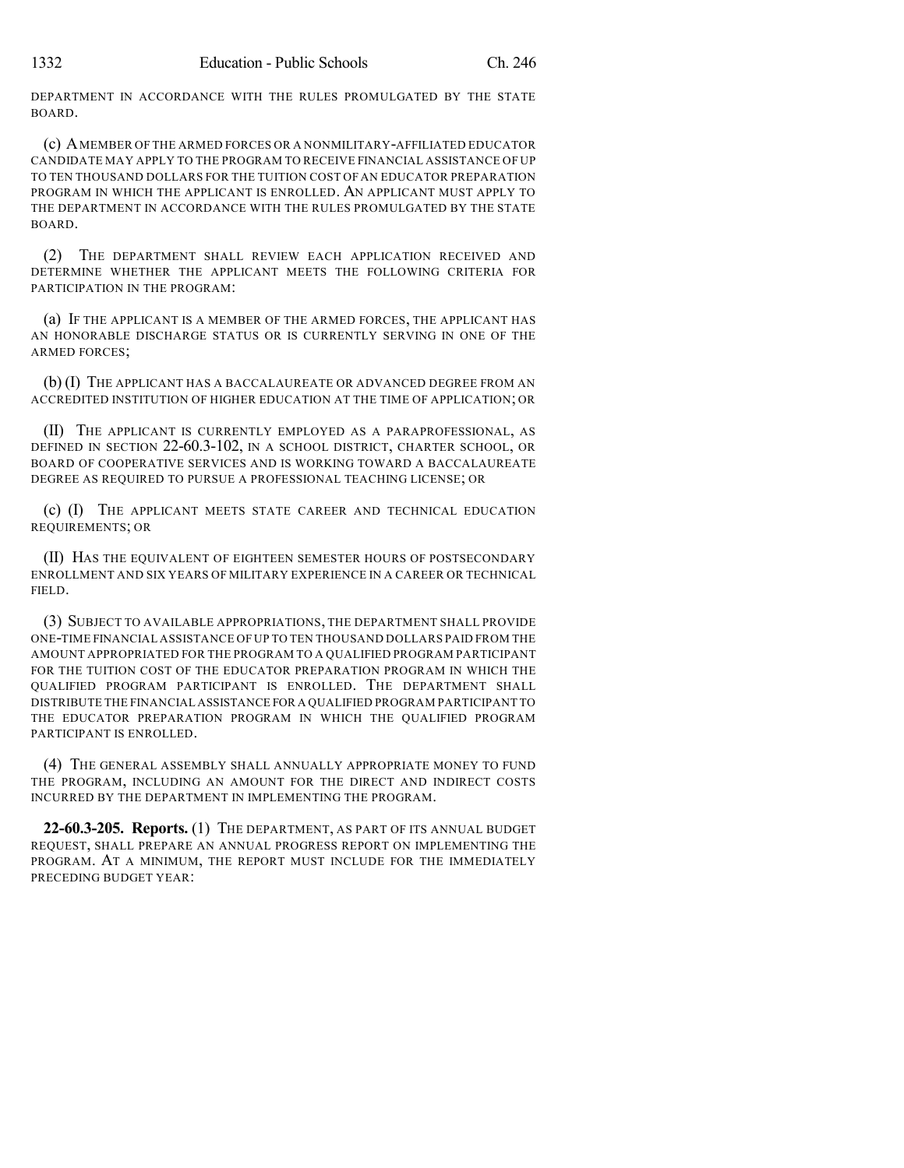DEPARTMENT IN ACCORDANCE WITH THE RULES PROMULGATED BY THE STATE BOARD.

(c) AMEMBER OF THE ARMED FORCES OR A NONMILITARY-AFFILIATED EDUCATOR CANDIDATE MAY APPLY TO THE PROGRAM TO RECEIVE FINANCIAL ASSISTANCE OF UP TO TEN THOUSAND DOLLARS FOR THE TUITION COST OF AN EDUCATOR PREPARATION PROGRAM IN WHICH THE APPLICANT IS ENROLLED. AN APPLICANT MUST APPLY TO THE DEPARTMENT IN ACCORDANCE WITH THE RULES PROMULGATED BY THE STATE BOARD.

(2) THE DEPARTMENT SHALL REVIEW EACH APPLICATION RECEIVED AND DETERMINE WHETHER THE APPLICANT MEETS THE FOLLOWING CRITERIA FOR PARTICIPATION IN THE PROGRAM:

(a) IF THE APPLICANT IS A MEMBER OF THE ARMED FORCES, THE APPLICANT HAS AN HONORABLE DISCHARGE STATUS OR IS CURRENTLY SERVING IN ONE OF THE ARMED FORCES;

(b) (I) THE APPLICANT HAS A BACCALAUREATE OR ADVANCED DEGREE FROM AN ACCREDITED INSTITUTION OF HIGHER EDUCATION AT THE TIME OF APPLICATION; OR

(II) THE APPLICANT IS CURRENTLY EMPLOYED AS A PARAPROFESSIONAL, AS DEFINED IN SECTION 22-60.3-102, IN A SCHOOL DISTRICT, CHARTER SCHOOL, OR BOARD OF COOPERATIVE SERVICES AND IS WORKING TOWARD A BACCALAUREATE DEGREE AS REQUIRED TO PURSUE A PROFESSIONAL TEACHING LICENSE; OR

(c) (I) THE APPLICANT MEETS STATE CAREER AND TECHNICAL EDUCATION REQUIREMENTS; OR

(II) HAS THE EQUIVALENT OF EIGHTEEN SEMESTER HOURS OF POSTSECONDARY ENROLLMENT AND SIX YEARS OF MILITARY EXPERIENCE IN A CAREER OR TECHNICAL FIELD.

(3) SUBJECT TO AVAILABLE APPROPRIATIONS, THE DEPARTMENT SHALL PROVIDE ONE-TIME FINANCIAL ASSISTANCE OF UP TO TEN THOUSAND DOLLARS PAID FROM THE AMOUNT APPROPRIATED FOR THE PROGRAM TO A QUALIFIED PROGRAM PARTICIPANT FOR THE TUITION COST OF THE EDUCATOR PREPARATION PROGRAM IN WHICH THE QUALIFIED PROGRAM PARTICIPANT IS ENROLLED. THE DEPARTMENT SHALL DISTRIBUTE THE FINANCIAL ASSISTANCE FOR A QUALIFIED PROGRAM PARTICIPANT TO THE EDUCATOR PREPARATION PROGRAM IN WHICH THE QUALIFIED PROGRAM PARTICIPANT IS ENROLLED.

(4) THE GENERAL ASSEMBLY SHALL ANNUALLY APPROPRIATE MONEY TO FUND THE PROGRAM, INCLUDING AN AMOUNT FOR THE DIRECT AND INDIRECT COSTS INCURRED BY THE DEPARTMENT IN IMPLEMENTING THE PROGRAM.

**22-60.3-205. Reports.** (1) THE DEPARTMENT, AS PART OF ITS ANNUAL BUDGET REQUEST, SHALL PREPARE AN ANNUAL PROGRESS REPORT ON IMPLEMENTING THE PROGRAM. AT A MINIMUM, THE REPORT MUST INCLUDE FOR THE IMMEDIATELY PRECEDING BUDGET YEAR: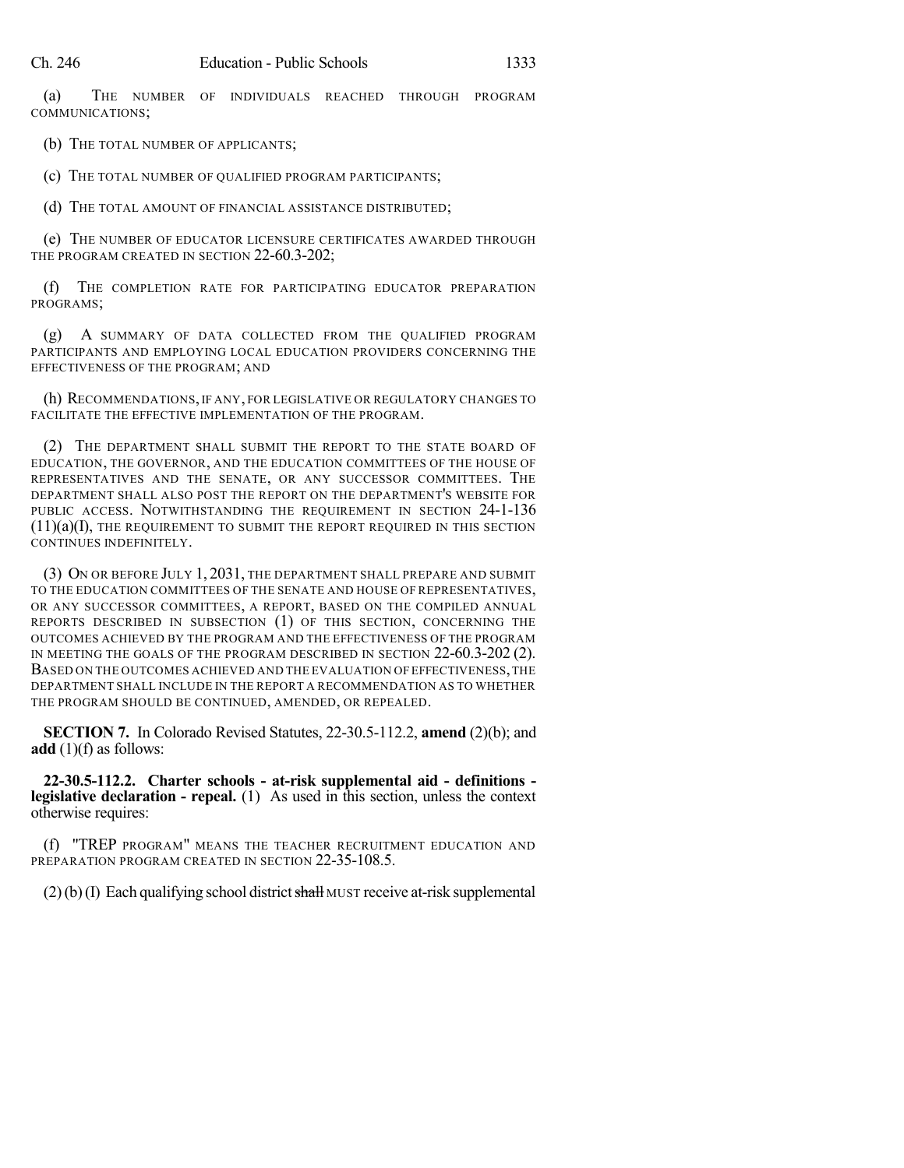(a) THE NUMBER OF INDIVIDUALS REACHED THROUGH PROGRAM COMMUNICATIONS;

(b) THE TOTAL NUMBER OF APPLICANTS;

(c) THE TOTAL NUMBER OF QUALIFIED PROGRAM PARTICIPANTS;

(d) THE TOTAL AMOUNT OF FINANCIAL ASSISTANCE DISTRIBUTED;

(e) THE NUMBER OF EDUCATOR LICENSURE CERTIFICATES AWARDED THROUGH THE PROGRAM CREATED IN SECTION 22-60.3-202;

(f) THE COMPLETION RATE FOR PARTICIPATING EDUCATOR PREPARATION PROGRAMS;

(g) A SUMMARY OF DATA COLLECTED FROM THE QUALIFIED PROGRAM PARTICIPANTS AND EMPLOYING LOCAL EDUCATION PROVIDERS CONCERNING THE EFFECTIVENESS OF THE PROGRAM; AND

(h) RECOMMENDATIONS, IF ANY, FOR LEGISLATIVE OR REGULATORY CHANGES TO FACILITATE THE EFFECTIVE IMPLEMENTATION OF THE PROGRAM.

(2) THE DEPARTMENT SHALL SUBMIT THE REPORT TO THE STATE BOARD OF EDUCATION, THE GOVERNOR, AND THE EDUCATION COMMITTEES OF THE HOUSE OF REPRESENTATIVES AND THE SENATE, OR ANY SUCCESSOR COMMITTEES. THE DEPARTMENT SHALL ALSO POST THE REPORT ON THE DEPARTMENT'S WEBSITE FOR PUBLIC ACCESS. NOTWITHSTANDING THE REQUIREMENT IN SECTION 24-1-136  $(11)(a)(I)$ , THE REQUIREMENT TO SUBMIT THE REPORT REQUIRED IN THIS SECTION CONTINUES INDEFINITELY.

(3) ON OR BEFORE JULY 1, 2031, THE DEPARTMENT SHALL PREPARE AND SUBMIT TO THE EDUCATION COMMITTEES OF THE SENATE AND HOUSE OF REPRESENTATIVES, OR ANY SUCCESSOR COMMITTEES, A REPORT, BASED ON THE COMPILED ANNUAL REPORTS DESCRIBED IN SUBSECTION (1) OF THIS SECTION, CONCERNING THE OUTCOMES ACHIEVED BY THE PROGRAM AND THE EFFECTIVENESS OF THE PROGRAM IN MEETING THE GOALS OF THE PROGRAM DESCRIBED IN SECTION 22-60.3-202 (2). BASED ON THE OUTCOMES ACHIEVED AND THE EVALUATION OF EFFECTIVENESS,THE DEPARTMENT SHALL INCLUDE IN THE REPORT A RECOMMENDATION AS TO WHETHER THE PROGRAM SHOULD BE CONTINUED, AMENDED, OR REPEALED.

**SECTION 7.** In Colorado Revised Statutes, 22-30.5-112.2, **amend** (2)(b); and **add** (1)(f) as follows:

**22-30.5-112.2. Charter schools - at-risk supplemental aid - definitions legislative declaration - repeal.** (1) As used in this section, unless the context otherwise requires:

(f) "TREP PROGRAM" MEANS THE TEACHER RECRUITMENT EDUCATION AND PREPARATION PROGRAM CREATED IN SECTION 22-35-108.5.

 $(2)(b)(I)$  Each qualifying school district shall MUST receive at-risk supplemental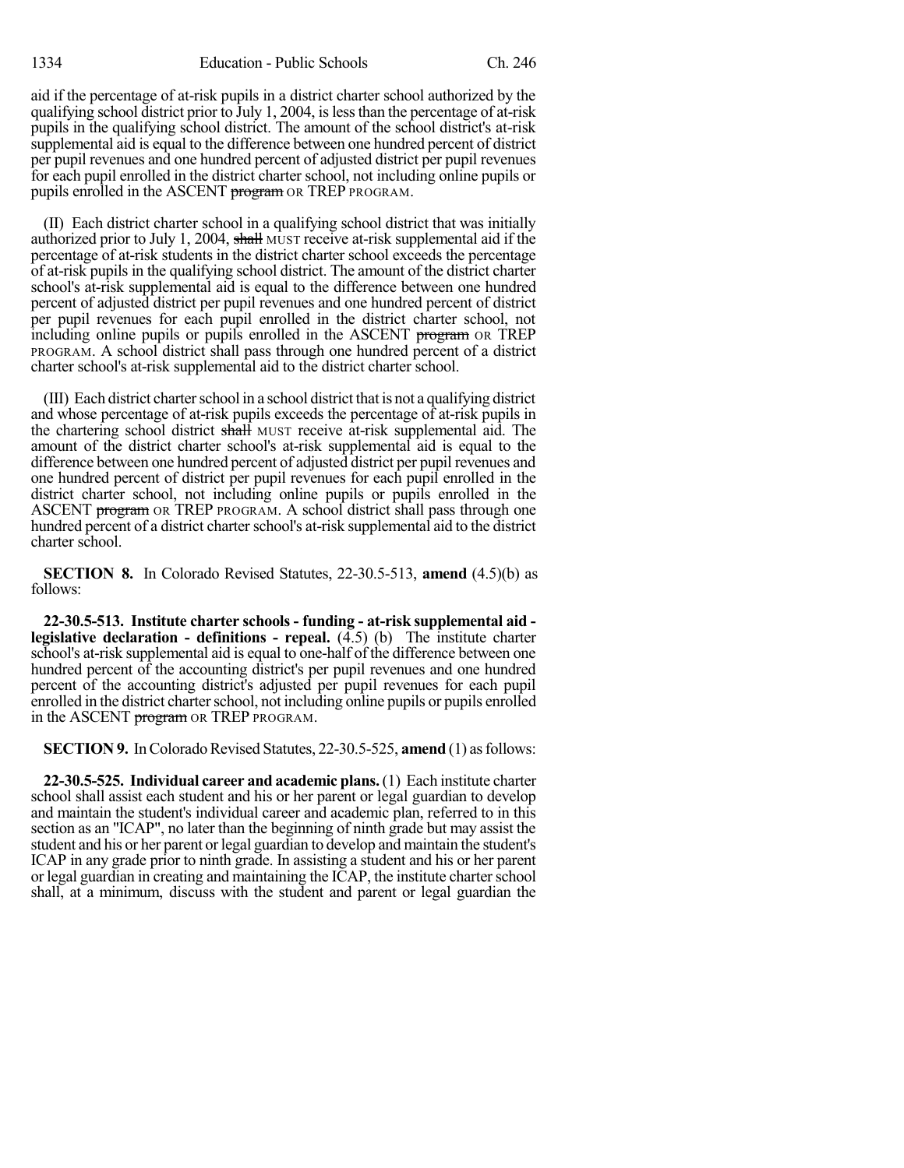aid if the percentage of at-risk pupils in a district charter school authorized by the qualifying school district prior to July 1, 2004, islessthan the percentage of at-risk pupils in the qualifying school district. The amount of the school district's at-risk supplemental aid is equal to the difference between one hundred percent of district per pupil revenues and one hundred percent of adjusted district per pupil revenues for each pupil enrolled in the district charter school, not including online pupils or pupils enrolled in the ASCENT program OR TREP PROGRAM.

(II) Each district charter school in a qualifying school district that was initially authorized prior to July 1, 2004, shall MUST receive at-risk supplemental aid if the percentage of at-risk students in the district charter school exceeds the percentage of at-risk pupils in the qualifying school district. The amount of the district charter school's at-risk supplemental aid is equal to the difference between one hundred percent of adjusted district per pupil revenues and one hundred percent of district per pupil revenues for each pupil enrolled in the district charter school, not including online pupils or pupils enrolled in the ASCENT program OR TREP PROGRAM. A school district shall pass through one hundred percent of a district charter school's at-risk supplemental aid to the district charter school.

(III) Each district charterschool in a school district that is not a qualifying district and whose percentage of at-risk pupils exceeds the percentage of at-risk pupils in the chartering school district shall MUST receive at-risk supplemental aid. The amount of the district charter school's at-risk supplemental aid is equal to the difference between one hundred percent of adjusted district per pupil revenues and one hundred percent of district per pupil revenues for each pupil enrolled in the district charter school, not including online pupils or pupils enrolled in the ASCENT **program** OR TREP PROGRAM. A school district shall pass through one hundred percent of a district charter school's at-risk supplemental aid to the district charter school.

**SECTION 8.** In Colorado Revised Statutes, 22-30.5-513, **amend** (4.5)(b) as follows:

**22-30.5-513. Institute charter schools - funding - at-risk supplemental aid legislative declaration - definitions - repeal.** (4.5) (b) The institute charter school's at-risk supplemental aid is equal to one-half of the difference between one hundred percent of the accounting district's per pupil revenues and one hundred percent of the accounting district's adjusted per pupil revenues for each pupil enrolled in the district charter school, not including online pupils or pupils enrolled in the ASCENT program OR TREP PROGRAM.

**SECTION 9.** In Colorado Revised Statutes, 22-30.5-525, **amend** (1) as follows:

**22-30.5-525. Individual career and academic plans.**(1) Each institute charter school shall assist each student and his or her parent or legal guardian to develop and maintain the student's individual career and academic plan, referred to in this section as an "ICAP", no later than the beginning of ninth grade but may assist the student and his or her parent or legal guardian to develop and maintain the student's ICAP in any grade prior to ninth grade. In assisting a student and his or her parent or legal guardian in creating and maintaining the ICAP, the institute charter school shall, at a minimum, discuss with the student and parent or legal guardian the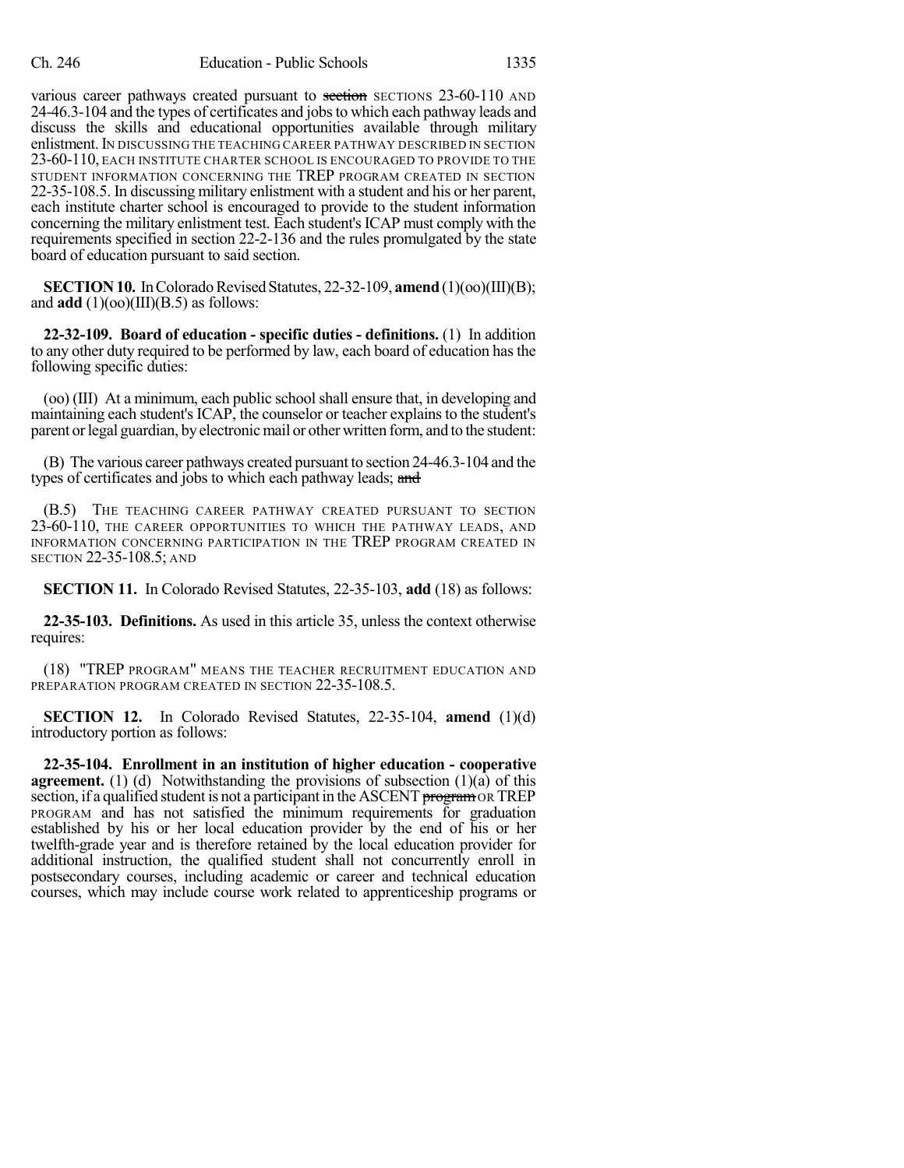various career pathways created pursuant to section SECTIONS 23-60-110 AND 24-46.3-104 and the types of certificates and jobsto which each pathway leads and discuss the skills and educational opportunities available through military enlistment.IN DISCUSSING THE TEACHING CAREER PATHWAY DESCRIBED IN SECTION 23-60-110, EACH INSTITUTE CHARTER SCHOOL IS ENCOURAGED TO PROVIDE TO THE STUDENT INFORMATION CONCERNING THE TREP PROGRAM CREATED IN SECTION 22-35-108.5. In discussing military enlistment with a student and his or her parent, each institute charter school is encouraged to provide to the student information concerning the military enlistment test. Each student'sICAP must comply with the requirements specified in section 22-2-136 and the rules promulgated by the state board of education pursuant to said section.

**SECTION 10.** In Colorado Revised Statutes, 22-32-109, **amend** (1)(oo)(III)(B); and  $add(1)(oo)(III)(B.5)$  as follows:

**22-32-109. Board of education - specific duties - definitions.** (1) In addition to any other duty required to be performed by law, each board of education hasthe following specific duties:

(oo) (III) At a minimum, each public school shall ensure that, in developing and maintaining each student's ICAP, the counselor or teacher explainsto the student's parent or legal guardian, by electronic mail or other written form, and to the student:

(B) The various career pathways created pursuant to section 24-46.3-104 and the types of certificates and jobs to which each pathway leads; and

(B.5) THE TEACHING CAREER PATHWAY CREATED PURSUANT TO SECTION 23-60-110, THE CAREER OPPORTUNITIES TO WHICH THE PATHWAY LEADS, AND INFORMATION CONCERNING PARTICIPATION IN THE TREP PROGRAM CREATED IN SECTION 22-35-108.5; AND

**SECTION 11.** In Colorado Revised Statutes, 22-35-103, **add** (18) as follows:

**22-35-103. Definitions.** As used in this article 35, unless the context otherwise requires:

(18) "TREP PROGRAM" MEANS THE TEACHER RECRUITMENT EDUCATION AND PREPARATION PROGRAM CREATED IN SECTION 22-35-108.5.

**SECTION 12.** In Colorado Revised Statutes, 22-35-104, **amend** (1)(d) introductory portion as follows:

**22-35-104. Enrollment in an institution of higher education - cooperative agreement.** (1) (d) Notwithstanding the provisions of subsection  $(1)(a)$  of this section, if a qualified student is not a participant in the ASCENT program OR TREP PROGRAM and has not satisfied the minimum requirements for graduation established by his or her local education provider by the end of his or her twelfth-grade year and is therefore retained by the local education provider for additional instruction, the qualified student shall not concurrently enroll in postsecondary courses, including academic or career and technical education courses, which may include course work related to apprenticeship programs or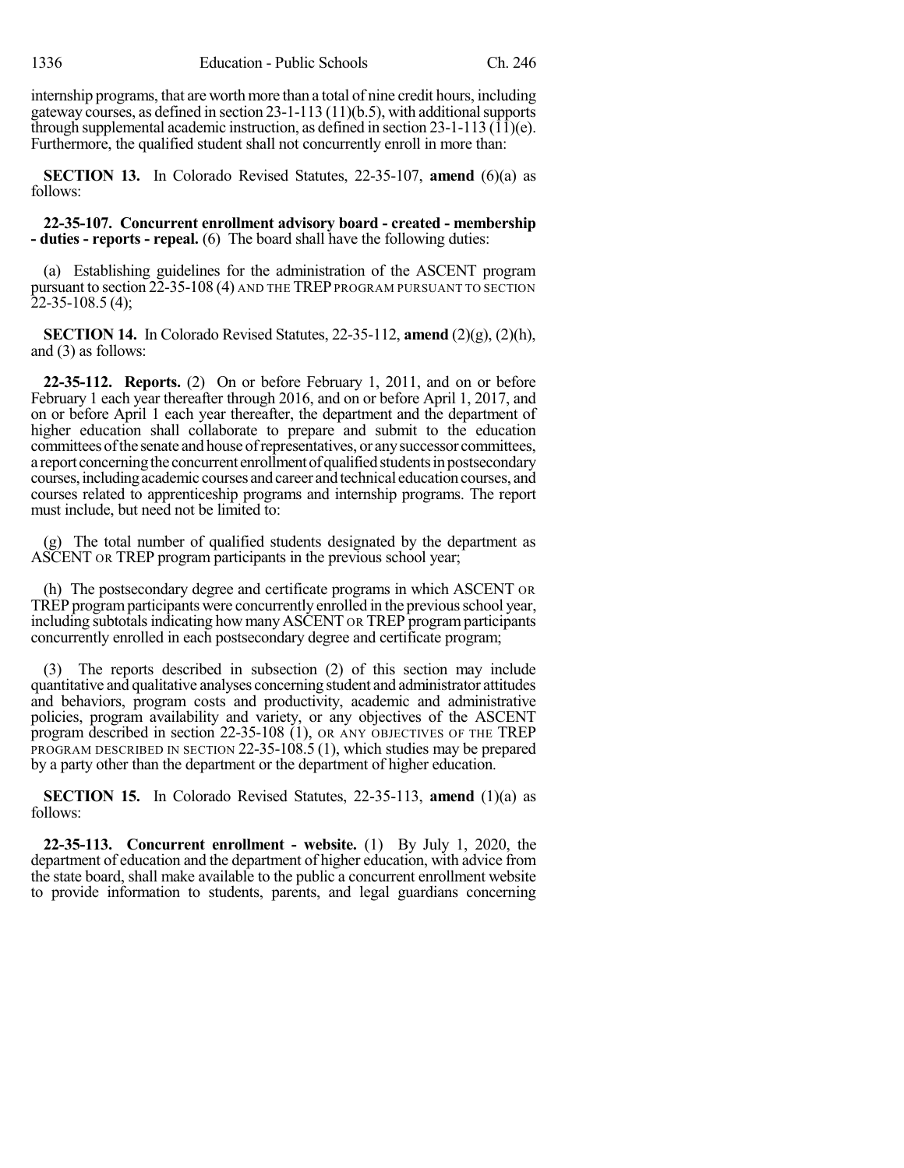internship programs, that are worth more than a total of nine credit hours, including gateway courses, as defined in section  $23-1-113(11)(b.5)$ , with additional supports through supplemental academic instruction, as defined in section  $23-1-113$  ( $1\bar{1}$ )(e). Furthermore, the qualified student shall not concurrently enroll in more than:

**SECTION 13.** In Colorado Revised Statutes, 22-35-107, **amend** (6)(a) as follows:

## **22-35-107. Concurrent enrollment advisory board - created - membership - duties - reports - repeal.** (6) The board shall have the following duties:

(a) Establishing guidelines for the administration of the ASCENT program pursuant to section 22-35-108 (4) AND THE TREP PROGRAM PURSUANT TO SECTION 22-35-108.5 (4);

**SECTION 14.** In Colorado Revised Statutes, 22-35-112, **amend** (2)(g), (2)(h), and (3) as follows:

**22-35-112. Reports.** (2) On or before February 1, 2011, and on or before February 1 each year thereafter through 2016, and on or before April 1, 2017, and on or before April 1 each year thereafter, the department and the department of higher education shall collaborate to prepare and submit to the education committees of the senate and house of representatives, or any successor committees, a report concerning the concurrent enrollment of qualified students in postsecondary courses, including academic courses and career and technical education courses, and courses related to apprenticeship programs and internship programs. The report must include, but need not be limited to:

(g) The total number of qualified students designated by the department as ASCENT OR TREP program participants in the previous school year;

(h) The postsecondary degree and certificate programs in which ASCENT OR TREP programparticipants were concurrently enrolled in the previousschool year, including subtotals indicating how many ASCENT OR TREP program participants concurrently enrolled in each postsecondary degree and certificate program;

(3) The reports described in subsection (2) of this section may include quantitative and qualitative analyses concerning student and administrator attitudes and behaviors, program costs and productivity, academic and administrative policies, program availability and variety, or any objectives of the ASCENT program described in section 22-35-108 (1), OR ANY OBJECTIVES OF THE TREP PROGRAM DESCRIBED IN SECTION 22-35-108.5 (1), which studies may be prepared by a party other than the department or the department of higher education.

**SECTION 15.** In Colorado Revised Statutes, 22-35-113, **amend** (1)(a) as follows:

**22-35-113. Concurrent enrollment - website.** (1) By July 1, 2020, the department of education and the department of higher education, with advice from the state board, shall make available to the public a concurrent enrollment website to provide information to students, parents, and legal guardians concerning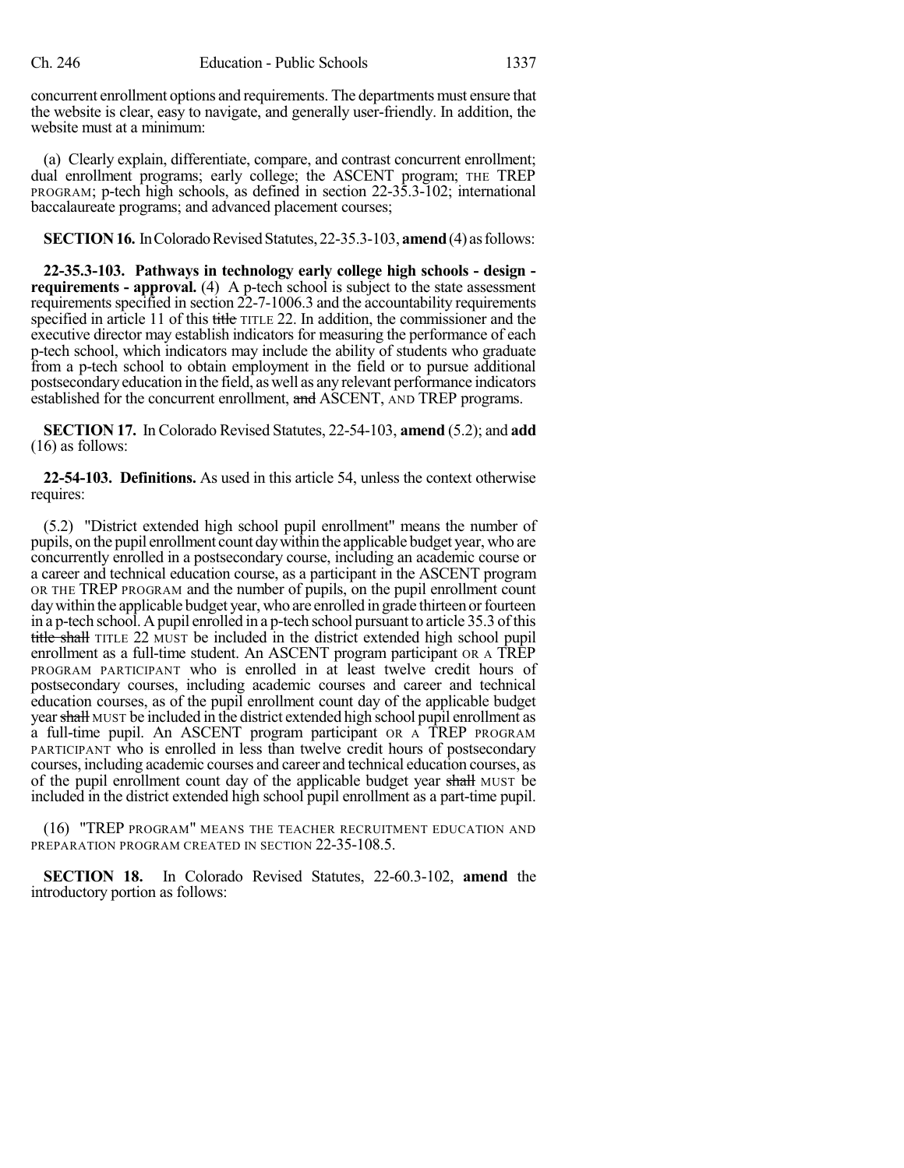concurrent enrollment options and requirements. The departments must ensure that the website is clear, easy to navigate, and generally user-friendly. In addition, the website must at a minimum:

(a) Clearly explain, differentiate, compare, and contrast concurrent enrollment; dual enrollment programs; early college; the ASCENT program; THE TREP PROGRAM; p-tech high schools, as defined in section 22-35.3-102; international baccalaureate programs; and advanced placement courses;

**SECTION 16.** In Colorado Revised Statutes, 22-35.3-103, **amend** (4) as follows:

**22-35.3-103. Pathways in technology early college high schools - design requirements - approval.** (4) A p-tech school is subject to the state assessment requirements specified in section 22-7-1006.3 and the accountability requirements specified in article 11 of this title TITLE 22. In addition, the commissioner and the executive director may establish indicators for measuring the performance of each p-tech school, which indicators may include the ability of students who graduate from a p-tech school to obtain employment in the field or to pursue additional postsecondaryeducation in the field, as well as any relevant performance indicators established for the concurrent enrollment, and ASCENT, AND TREP programs.

**SECTION 17.** In Colorado Revised Statutes, 22-54-103, **amend** (5.2); and **add** (16) as follows:

**22-54-103. Definitions.** As used in this article 54, unless the context otherwise requires:

(5.2) "District extended high school pupil enrollment" means the number of pupils, on the pupil enrollment count daywithin the applicable budget year, who are concurrently enrolled in a postsecondary course, including an academic course or a career and technical education course, as a participant in the ASCENT program OR THE TREP PROGRAM and the number of pupils, on the pupil enrollment count day within the applicable budget year, who are enrolled in grade thirteen or fourteen in a p-tech school. Apupil enrolled in a p-tech school pursuant to article 35.3 ofthis title shall TITLE 22 MUST be included in the district extended high school pupil enrollment as a full-time student. An ASCENT program participant OR A TREP PROGRAM PARTICIPANT who is enrolled in at least twelve credit hours of postsecondary courses, including academic courses and career and technical education courses, as of the pupil enrollment count day of the applicable budget year shall MUST be included in the district extended high school pupil enrollment as a full-time pupil. An ASCENT program participant OR A TREP PROGRAM PARTICIPANT who is enrolled in less than twelve credit hours of postsecondary courses, including academic courses and career and technical education courses, as of the pupil enrollment count day of the applicable budget year shall MUST be included in the district extended high school pupil enrollment as a part-time pupil.

(16) "TREP PROGRAM" MEANS THE TEACHER RECRUITMENT EDUCATION AND PREPARATION PROGRAM CREATED IN SECTION 22-35-108.5.

**SECTION 18.** In Colorado Revised Statutes, 22-60.3-102, **amend** the introductory portion as follows: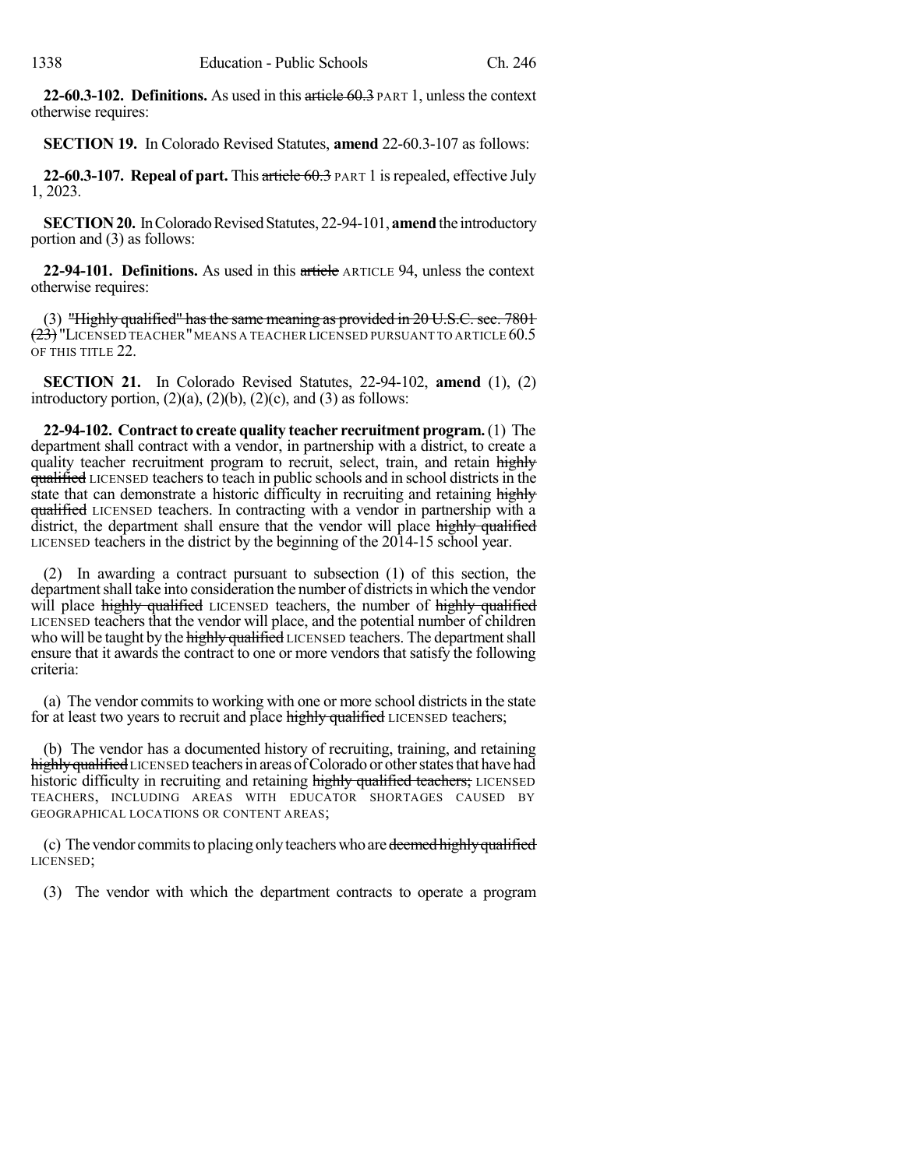**22-60.3-102. Definitions.** As used in this article 60.3 PART 1, unlessthe context otherwise requires:

**SECTION 19.** In Colorado Revised Statutes, **amend** 22-60.3-107 as follows:

**22-60.3-107. Repeal of part.** This article 60.3 PART 1 isrepealed, effective July 1, 2023.

**SECTION 20.** In Colorado Revised Statutes, 22-94-101, **amend** the introductory portion and (3) as follows:

**22-94-101. Definitions.** As used in this article ARTICLE 94, unless the context otherwise requires:

(3) "Highly qualified" hasthe same meaning as provided in 20 U.S.C. sec. 7801  $(23)$  LICENSED TEACHER" MEANS A TEACHER LICENSED PURSUANT TO ARTICLE 60.5 OF THIS TITLE 22.

**SECTION 21.** In Colorado Revised Statutes, 22-94-102, **amend** (1), (2) introductory portion,  $(2)(a)$ ,  $(2)(b)$ ,  $(2)(c)$ , and  $(3)$  as follows:

**22-94-102. Contractto create quality teacher recruitment program.**(1) The department shall contract with a vendor, in partnership with a district, to create a quality teacher recruitment program to recruit, select, train, and retain highly qualified LICENSED teachers to teach in public schools and in school districts in the state that can demonstrate a historic difficulty in recruiting and retaining highly qualified LICENSED teachers. In contracting with a vendor in partnership with a district, the department shall ensure that the vendor will place highly qualified LICENSED teachers in the district by the beginning of the 2014-15 school year.

(2) In awarding a contract pursuant to subsection (1) of this section, the department shall take into consideration the number of districts in which the vendor will place highly qualified LICENSED teachers, the number of highly qualified LICENSED teachers that the vendor will place, and the potential number of children who will be taught by the highly qualified LICENSED teachers. The department shall ensure that it awards the contract to one or more vendors that satisfy the following criteria:

(a) The vendor commits to working with one or more school districts in the state for at least two years to recruit and place highly qualified LICENSED teachers;

(b) The vendor has a documented history of recruiting, training, and retaining highly qualified LICENSED teachers in areas of Colorado or other states that have had historic difficulty in recruiting and retaining highly qualified teachers; LICENSED TEACHERS, INCLUDING AREAS WITH EDUCATOR SHORTAGES CAUSED BY GEOGRAPHICAL LOCATIONS OR CONTENT AREAS;

(c) The vendor commits to placing only teachers who are deemed highly qualified LICENSED;

(3) The vendor with which the department contracts to operate a program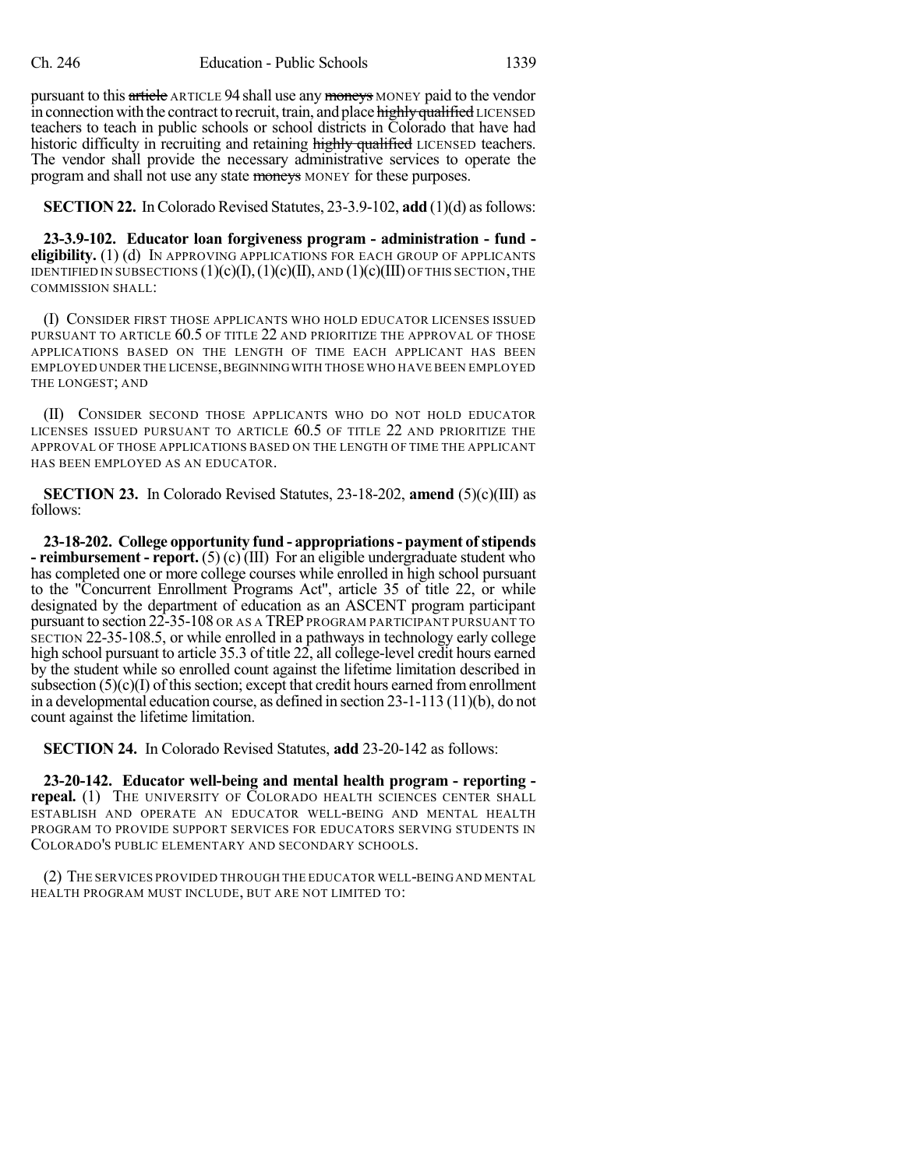pursuant to this article ARTICLE 94 shall use any moneys MONEY paid to the vendor in connection with the contract to recruit, train, and place highly qualified LICENSED teachers to teach in public schools or school districts in Colorado that have had historic difficulty in recruiting and retaining highly qualified LICENSED teachers. The vendor shall provide the necessary administrative services to operate the program and shall not use any state moneys MONEY for these purposes.

**SECTION 22.** In Colorado Revised Statutes, 23-3.9-102, **add** (1)(d) as follows:

**23-3.9-102. Educator loan forgiveness program - administration - fund eligibility.** (1) (d) IN APPROVING APPLICATIONS FOR EACH GROUP OF APPLICANTS IDENTIFIED IN SUBSECTIONS  $(1)(c)(I), (1)(c)(II),$  AND  $(1)(c)(III)$  OF THIS SECTION, THE COMMISSION SHALL:

(I) CONSIDER FIRST THOSE APPLICANTS WHO HOLD EDUCATOR LICENSES ISSUED PURSUANT TO ARTICLE 60.5 OF TITLE 22 AND PRIORITIZE THE APPROVAL OF THOSE APPLICATIONS BASED ON THE LENGTH OF TIME EACH APPLICANT HAS BEEN EMPLOYED UNDER THE LICENSE, BEGINNING WITH THOSE WHO HAVE BEEN EMPLOYED THE LONGEST; AND

(II) CONSIDER SECOND THOSE APPLICANTS WHO DO NOT HOLD EDUCATOR LICENSES ISSUED PURSUANT TO ARTICLE 60.5 OF TITLE 22 AND PRIORITIZE THE APPROVAL OF THOSE APPLICATIONS BASED ON THE LENGTH OF TIME THE APPLICANT HAS BEEN EMPLOYED AS AN EDUCATOR.

**SECTION 23.** In Colorado Revised Statutes, 23-18-202, **amend** (5)(c)(III) as follows:

**23-18-202. College opportunity fund - appropriations- payment ofstipends - reimbursement - report.** (5) (c) (III) For an eligible undergraduate student who has completed one or more college courses while enrolled in high school pursuant to the "Concurrent Enrollment Programs Act", article 35 of title 22, or while designated by the department of education as an ASCENT program participant pursuant to section 22-35-108 OR AS A TREPPROGRAM PARTICIPANT PURSUANT TO SECTION 22-35-108.5, or while enrolled in a pathways in technology early college high school pursuant to article 35.3 of title 22, all college-level credit hours earned by the student while so enrolled count against the lifetime limitation described in subsection  $(5)(c)(I)$  of this section; except that credit hours earned from enrollment in a developmental education course, as defined in section 23-1-113 (11)(b), do not count against the lifetime limitation.

**SECTION 24.** In Colorado Revised Statutes, **add** 23-20-142 as follows:

**23-20-142. Educator well-being and mental health program - reporting repeal.** (1) THE UNIVERSITY OF COLORADO HEALTH SCIENCES CENTER SHALL ESTABLISH AND OPERATE AN EDUCATOR WELL-BEING AND MENTAL HEALTH PROGRAM TO PROVIDE SUPPORT SERVICES FOR EDUCATORS SERVING STUDENTS IN COLORADO'S PUBLIC ELEMENTARY AND SECONDARY SCHOOLS.

(2) THE SERVICES PROVIDED THROUGH THE EDUCATOR WELL-BEING AND MENTAL HEALTH PROGRAM MUST INCLUDE, BUT ARE NOT LIMITED TO: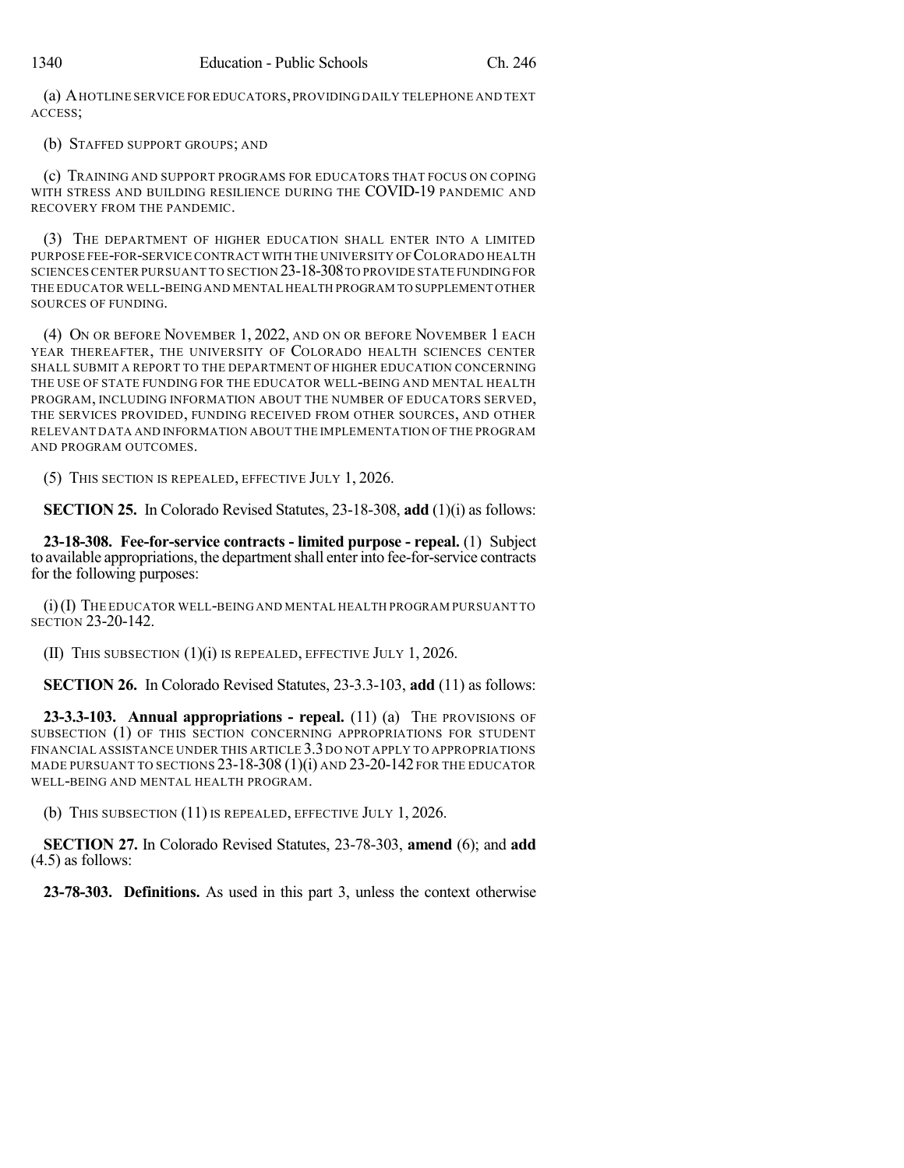(a) AHOTLINE SERVICE FOR EDUCATORS,PROVIDING DAILY TELEPHONE AND TEXT ACCESS;

(b) STAFFED SUPPORT GROUPS; AND

(c) TRAINING AND SUPPORT PROGRAMS FOR EDUCATORS THAT FOCUS ON COPING WITH STRESS AND BUILDING RESILIENCE DURING THE COVID-19 PANDEMIC AND RECOVERY FROM THE PANDEMIC.

(3) THE DEPARTMENT OF HIGHER EDUCATION SHALL ENTER INTO A LIMITED PURPOSE FEE-FOR-SERVICE CONTRACT WITH THE UNIVERSITY OF COLORADO HEALTH SCIENCES CENTER PURSUANT TO SECTION 23-18-308TO PROVIDE STATE FUNDING FOR THE EDUCATOR WELL-BEING AND MENTAL HEALTH PROGRAM TO SUPPLEMENT OTHER SOURCES OF FUNDING.

(4) ON OR BEFORE NOVEMBER 1, 2022, AND ON OR BEFORE NOVEMBER 1 EACH YEAR THEREAFTER, THE UNIVERSITY OF COLORADO HEALTH SCIENCES CENTER SHALL SUBMIT A REPORT TO THE DEPARTMENT OF HIGHER EDUCATION CONCERNING THE USE OF STATE FUNDING FOR THE EDUCATOR WELL-BEING AND MENTAL HEALTH PROGRAM, INCLUDING INFORMATION ABOUT THE NUMBER OF EDUCATORS SERVED, THE SERVICES PROVIDED, FUNDING RECEIVED FROM OTHER SOURCES, AND OTHER RELEVANT DATA AND INFORMATION ABOUT THE IMPLEMENTATION OF THE PROGRAM AND PROGRAM OUTCOMES.

(5) THIS SECTION IS REPEALED, EFFECTIVE JULY 1, 2026.

**SECTION 25.** In Colorado Revised Statutes, 23-18-308, **add** (1)(i) as follows:

**23-18-308. Fee-for-service contracts - limited purpose - repeal.** (1) Subject to available appropriations, the department shall enter into fee-for-service contracts for the following purposes:

(i)(I) THE EDUCATOR WELL-BEING AND MENTAL HEALTH PROGRAM PURSUANT TO SECTION 23-20-142.

(II) THIS SUBSECTION (1)(i) IS REPEALED, EFFECTIVE JULY 1, 2026.

**SECTION 26.** In Colorado Revised Statutes, 23-3.3-103, **add** (11) as follows:

**23-3.3-103. Annual appropriations - repeal.** (11) (a) THE PROVISIONS OF SUBSECTION (1) OF THIS SECTION CONCERNING APPROPRIATIONS FOR STUDENT FINANCIAL ASSISTANCE UNDER THIS ARTICLE 3.3DO NOT APPLY TO APPROPRIATIONS MADE PURSUANT TO SECTIONS 23-18-308 (1)(i) AND 23-20-142 FOR THE EDUCATOR WELL-BEING AND MENTAL HEALTH PROGRAM.

(b) THIS SUBSECTION (11) IS REPEALED, EFFECTIVE JULY 1, 2026.

**SECTION 27.** In Colorado Revised Statutes, 23-78-303, **amend** (6); and **add** (4.5) as follows:

**23-78-303. Definitions.** As used in this part 3, unless the context otherwise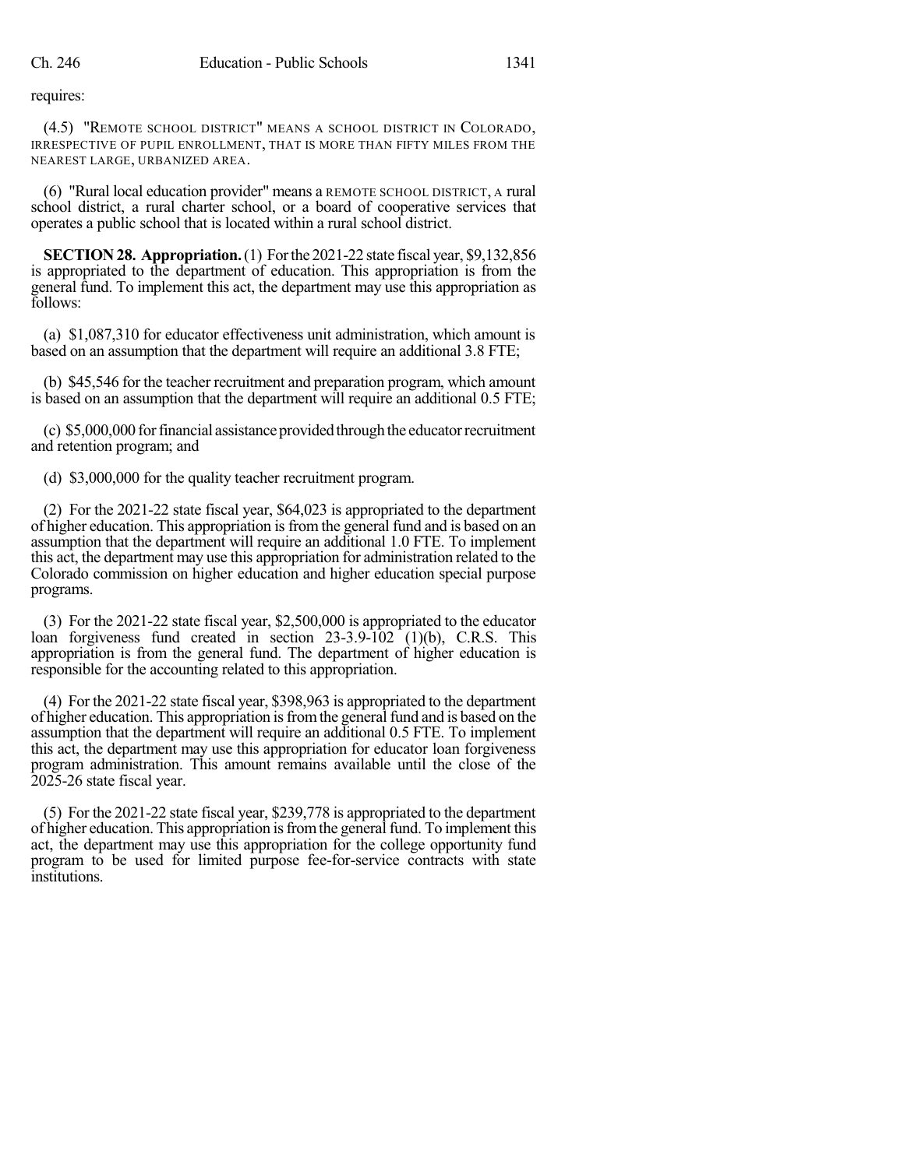requires:

(4.5) "REMOTE SCHOOL DISTRICT" MEANS A SCHOOL DISTRICT IN COLORADO, IRRESPECTIVE OF PUPIL ENROLLMENT, THAT IS MORE THAN FIFTY MILES FROM THE NEAREST LARGE, URBANIZED AREA.

(6) "Rural local education provider" means a REMOTE SCHOOL DISTRICT, A rural school district, a rural charter school, or a board of cooperative services that operates a public school that is located within a rural school district.

**SECTION28. Appropriation.**(1) Forthe 2021-22 state fiscal year, \$9,132,856 is appropriated to the department of education. This appropriation is from the general fund. To implement this act, the department may use this appropriation as follows:

(a) \$1,087,310 for educator effectiveness unit administration, which amount is based on an assumption that the department will require an additional 3.8 FTE;

(b) \$45,546 for the teacher recruitment and preparation program, which amount is based on an assumption that the department will require an additional 0.5 FTE;

(c) \$5,000,000 for financial assistance provided through the educator recruitment and retention program; and

(d) \$3,000,000 for the quality teacher recruitment program.

(2) For the 2021-22 state fiscal year, \$64,023 is appropriated to the department of higher education. This appropriation isfrom the general fund and is based on an assumption that the department will require an additional 1.0 FTE. To implement this act, the department may use this appropriation for administration related to the Colorado commission on higher education and higher education special purpose programs.

(3) For the 2021-22 state fiscal year, \$2,500,000 is appropriated to the educator loan forgiveness fund created in section 23-3.9-102 (1)(b), C.R.S. This appropriation is from the general fund. The department of higher education is responsible for the accounting related to this appropriation.

(4) For the 2021-22 state fiscal year, \$398,963 is appropriated to the department of higher education. This appropriation isfromthe general fund and is based on the assumption that the department will require an additional 0.5 FTE. To implement this act, the department may use this appropriation for educator loan forgiveness program administration. This amount remains available until the close of the 2025-26 state fiscal year.

(5) For the 2021-22 state fiscal year, \$239,778 is appropriated to the department of higher education. This appropriation isfromthe general fund. To implement this act, the department may use this appropriation for the college opportunity fund program to be used for limited purpose fee-for-service contracts with state institutions.